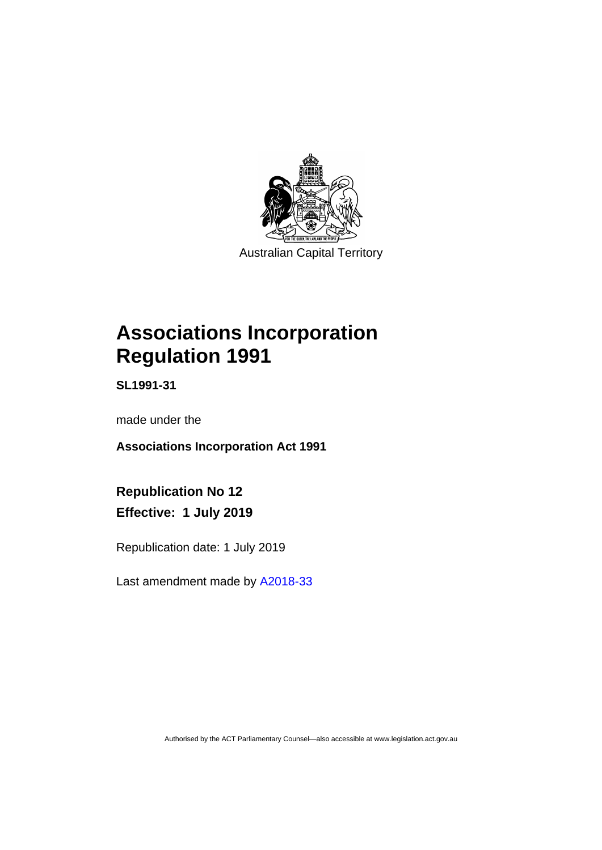

Australian Capital Territory

# **Associations Incorporation Regulation 1991**

**SL1991-31**

made under the

**Associations Incorporation Act 1991**

**Republication No 12 Effective: 1 July 2019**

Republication date: 1 July 2019

Last amendment made by [A2018-33](http://www.legislation.act.gov.au/a/2018-33/default.asp)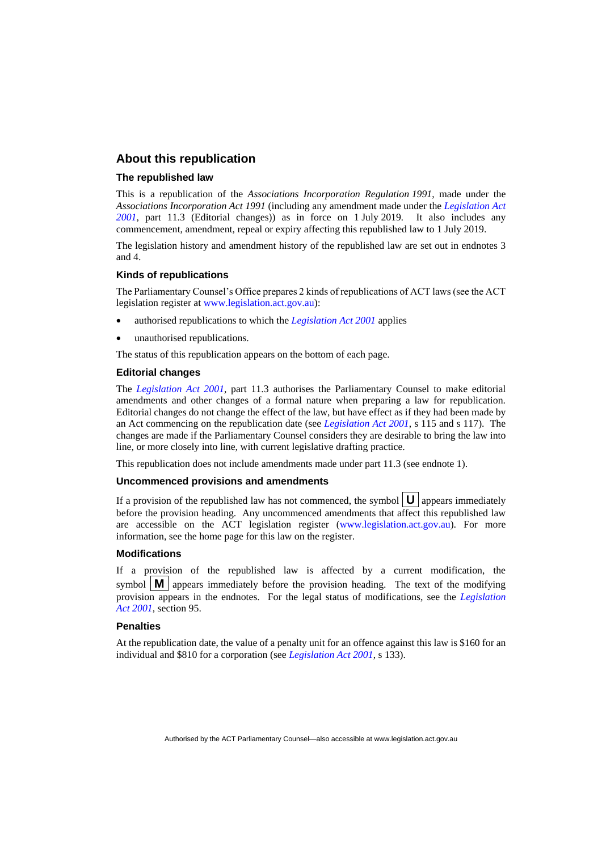### **About this republication**

### **The republished law**

This is a republication of the *Associations Incorporation Regulation 1991*, made under the *Associations Incorporation Act 1991* (including any amendment made under the *[Legislation Act](http://www.legislation.act.gov.au/a/2001-14)  [2001](http://www.legislation.act.gov.au/a/2001-14)*, part 11.3 (Editorial changes)) as in force on 1 July 2019*.* It also includes any commencement, amendment, repeal or expiry affecting this republished law to 1 July 2019.

The legislation history and amendment history of the republished law are set out in endnotes 3 and 4.

#### **Kinds of republications**

The Parliamentary Counsel's Office prepares 2 kinds of republications of ACT laws (see the ACT legislation register at [www.legislation.act.gov.au\)](http://www.legislation.act.gov.au/):

- authorised republications to which the *[Legislation Act 2001](http://www.legislation.act.gov.au/a/2001-14)* applies
- unauthorised republications.

The status of this republication appears on the bottom of each page.

#### **Editorial changes**

The *[Legislation Act 2001](http://www.legislation.act.gov.au/a/2001-14)*, part 11.3 authorises the Parliamentary Counsel to make editorial amendments and other changes of a formal nature when preparing a law for republication. Editorial changes do not change the effect of the law, but have effect as if they had been made by an Act commencing on the republication date (see *[Legislation Act 2001](http://www.legislation.act.gov.au/a/2001-14)*, s 115 and s 117). The changes are made if the Parliamentary Counsel considers they are desirable to bring the law into line, or more closely into line, with current legislative drafting practice.

This republication does not include amendments made under part 11.3 (see endnote 1).

#### **Uncommenced provisions and amendments**

If a provision of the republished law has not commenced, the symbol  $|\mathbf{U}|$  appears immediately before the provision heading. Any uncommenced amendments that affect this republished law are accessible on the ACT legislation register [\(www.legislation.act.gov.au\)](http://www.legislation.act.gov.au/). For more information, see the home page for this law on the register.

#### **Modifications**

If a provision of the republished law is affected by a current modification, the symbol  $\mathbf{M}$  appears immediately before the provision heading. The text of the modifying provision appears in the endnotes. For the legal status of modifications, see the *[Legislation](http://www.legislation.act.gov.au/a/2001-14)  Act [2001](http://www.legislation.act.gov.au/a/2001-14)*, section 95.

#### **Penalties**

At the republication date, the value of a penalty unit for an offence against this law is \$160 for an individual and \$810 for a corporation (see *[Legislation Act 2001](http://www.legislation.act.gov.au/a/2001-14)*, s 133).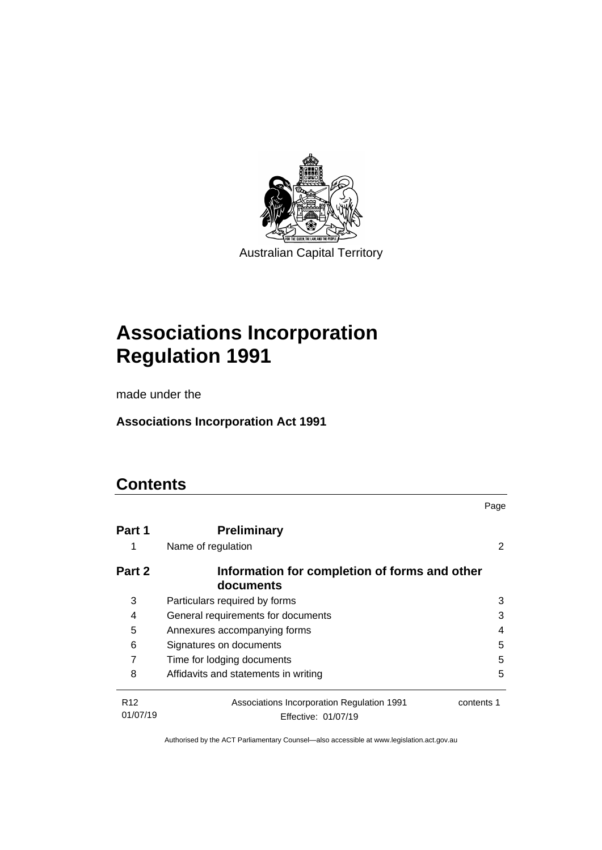

Australian Capital Territory

# **Associations Incorporation Regulation 1991**

made under the

**Associations Incorporation Act 1991**

# **Contents**

|                             |                                                                   | Page       |
|-----------------------------|-------------------------------------------------------------------|------------|
| Part 1                      | <b>Preliminary</b>                                                |            |
| 1                           | Name of regulation                                                |            |
| Part 2                      | Information for completion of forms and other<br>documents        |            |
| 3                           | Particulars required by forms                                     | 3          |
| 4                           | General requirements for documents                                | 3          |
| 5                           | Annexures accompanying forms                                      | 4          |
| 6                           | Signatures on documents                                           | 5          |
| 7                           | Time for lodging documents                                        | 5          |
| 8                           | Affidavits and statements in writing                              | 5          |
| R <sub>12</sub><br>01/07/19 | Associations Incorporation Regulation 1991<br>Effective: 01/07/19 | contents 1 |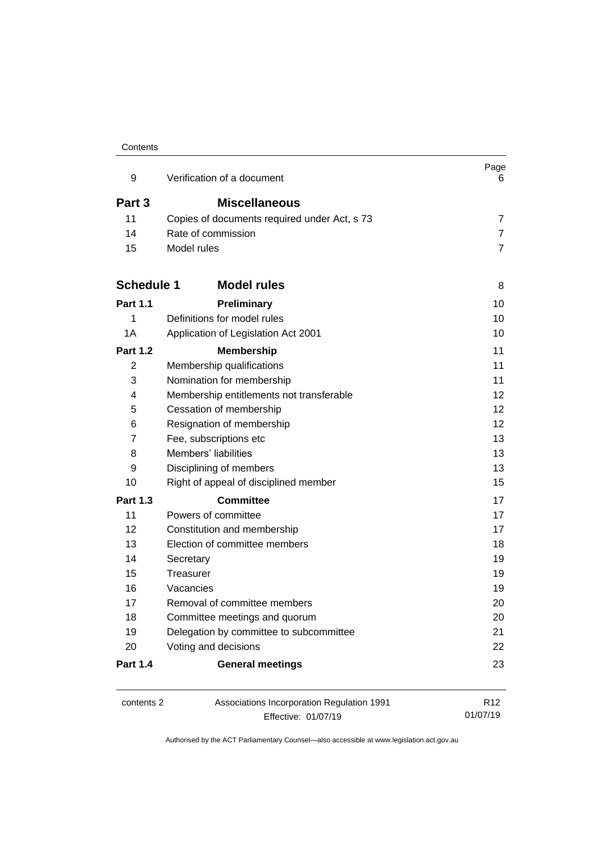#### **Contents**

| 9                                                                                                                          | Verification of a document                                        | Page<br>6                   |
|----------------------------------------------------------------------------------------------------------------------------|-------------------------------------------------------------------|-----------------------------|
| Part 3                                                                                                                     | <b>Miscellaneous</b>                                              |                             |
| 11                                                                                                                         | Copies of documents required under Act, s 73                      | 7                           |
| 14                                                                                                                         | Rate of commission                                                | $\overline{7}$              |
| 15                                                                                                                         | Model rules                                                       | $\overline{7}$              |
| <b>Schedule 1</b>                                                                                                          | <b>Model rules</b>                                                | 8                           |
| <b>Part 1.1</b>                                                                                                            | Preliminary                                                       | 10                          |
| 1                                                                                                                          | Definitions for model rules                                       | 10                          |
| 1A                                                                                                                         | Application of Legislation Act 2001                               | 10                          |
| <b>Part 1.2</b>                                                                                                            | <b>Membership</b>                                                 | 11                          |
| 2                                                                                                                          | Membership qualifications                                         | 11                          |
| 3                                                                                                                          | Nomination for membership                                         | 11                          |
| 4                                                                                                                          | Membership entitlements not transferable                          | 12                          |
| 5<br>Cessation of membership<br>Resignation of membership<br>6<br>Fee, subscriptions etc<br>7<br>Members' liabilities<br>8 | 12                                                                |                             |
|                                                                                                                            |                                                                   | 12                          |
|                                                                                                                            | 13<br>13                                                          |                             |
|                                                                                                                            |                                                                   | 9                           |
| 10                                                                                                                         | Right of appeal of disciplined member                             | 15                          |
| <b>Part 1.3</b>                                                                                                            | <b>Committee</b>                                                  | 17                          |
| 11                                                                                                                         | Powers of committee                                               | 17                          |
| 12                                                                                                                         | Constitution and membership                                       | 17                          |
| 13                                                                                                                         | Election of committee members                                     | 18                          |
| 14                                                                                                                         | Secretary                                                         | 19                          |
| 15                                                                                                                         | Treasurer                                                         | 19                          |
| 16                                                                                                                         | Vacancies                                                         | 19                          |
| 17                                                                                                                         | Removal of committee members                                      | 20                          |
| 18                                                                                                                         | Committee meetings and quorum                                     | 20                          |
| 19                                                                                                                         | Delegation by committee to subcommittee                           | 21                          |
| 20                                                                                                                         | Voting and decisions                                              | 22                          |
| <b>Part 1.4</b>                                                                                                            | <b>General meetings</b>                                           | 23                          |
| contents 2                                                                                                                 | Associations Incorporation Regulation 1991<br>Effective: 01/07/19 | R <sub>12</sub><br>01/07/19 |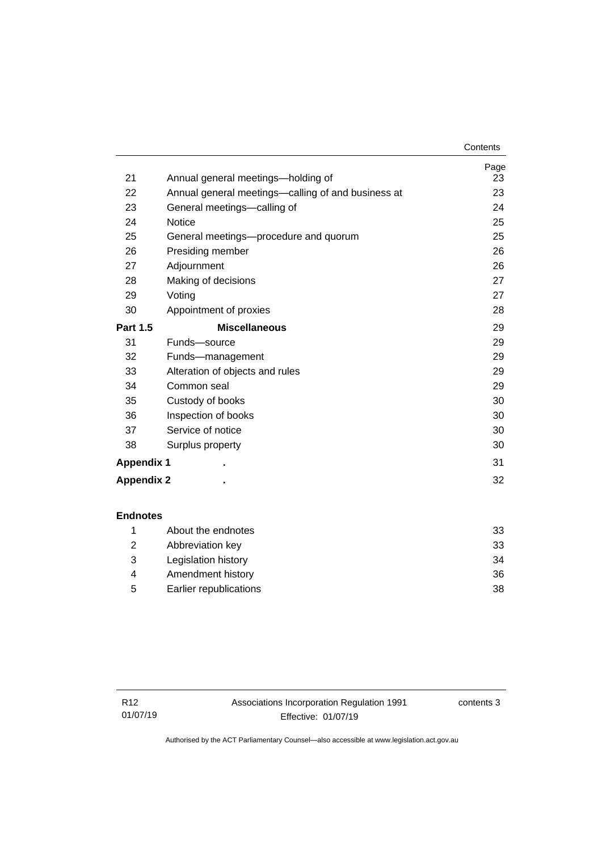|                   |                                                    | Contents   |
|-------------------|----------------------------------------------------|------------|
| 21                | Annual general meetings—holding of                 | Page<br>23 |
|                   |                                                    |            |
| 22                | Annual general meetings—calling of and business at | 23         |
| 23                | General meetings-calling of                        | 24         |
| 24                | <b>Notice</b>                                      | 25         |
| 25                | General meetings—procedure and quorum              | 25         |
| 26                | Presiding member                                   | 26         |
| 27                | Adjournment                                        | 26         |
| 28                | Making of decisions                                | 27         |
| 29                | Voting                                             | 27         |
| 30                | Appointment of proxies                             | 28         |
| <b>Part 1.5</b>   | <b>Miscellaneous</b>                               | 29         |
| 31                | Funds-source                                       | 29         |
| 32                | Funds-management                                   | 29         |
| 33                | Alteration of objects and rules                    | 29         |
| 34                | Common seal                                        | 29         |
| 35                | Custody of books                                   | 30         |
| 36                | Inspection of books                                | 30         |
| 37                | Service of notice                                  | 30         |
| 38                | Surplus property                                   | 30         |
| <b>Appendix 1</b> |                                                    | 31         |
| <b>Appendix 2</b> |                                                    | 32         |
|                   |                                                    |            |

|    | About the endnotes     | 33 |
|----|------------------------|----|
|    | Abbreviation key       | 33 |
| -3 | Legislation history    | 34 |
| 4  | Amendment history      | 36 |
| 5  | Earlier republications | 38 |

contents 3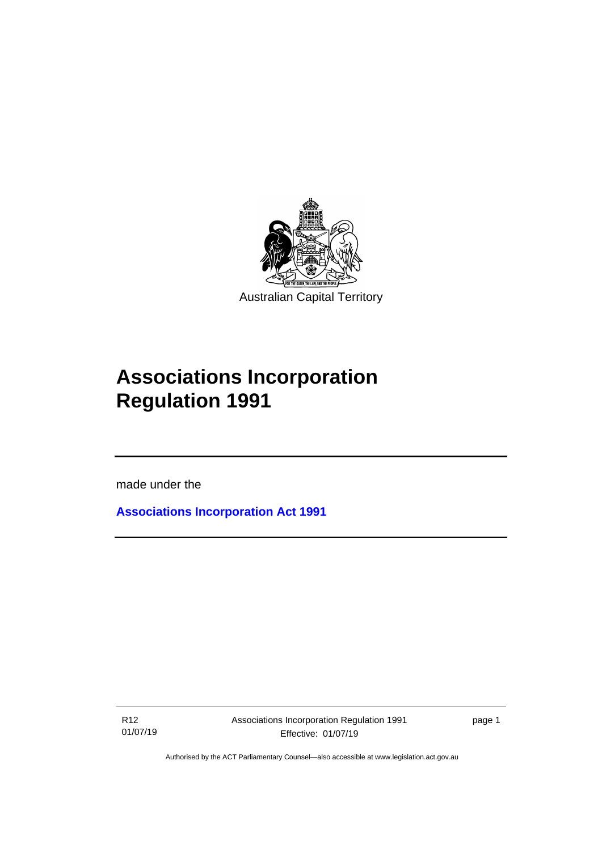

# **Associations Incorporation Regulation 1991**

made under the

I

**[Associations Incorporation Act 1991](http://www.legislation.act.gov.au/a/1991-46)**

R12 01/07/19 page 1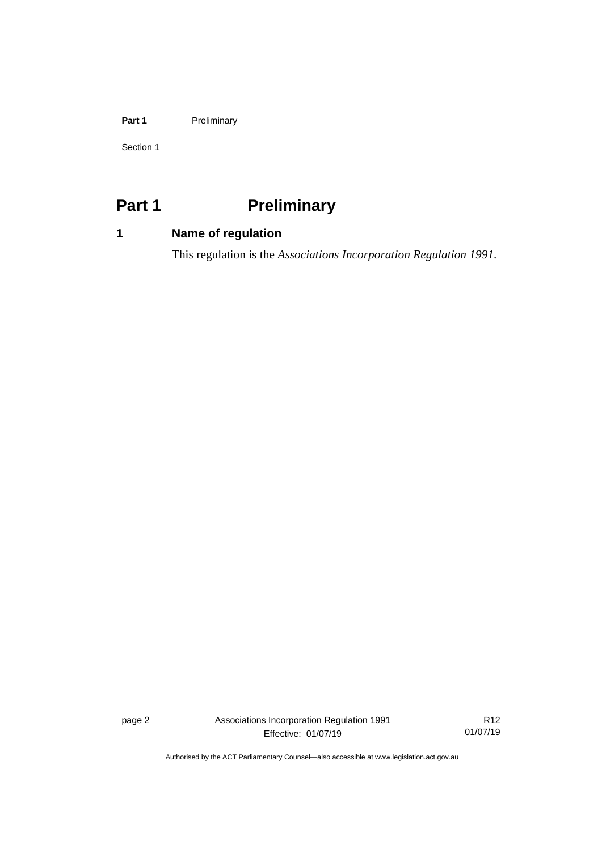### Part 1 **Preliminary**

Section 1

# <span id="page-7-0"></span>**Part 1 Preliminary**

# <span id="page-7-1"></span>**1 Name of regulation**

This regulation is the *Associations Incorporation Regulation 1991*.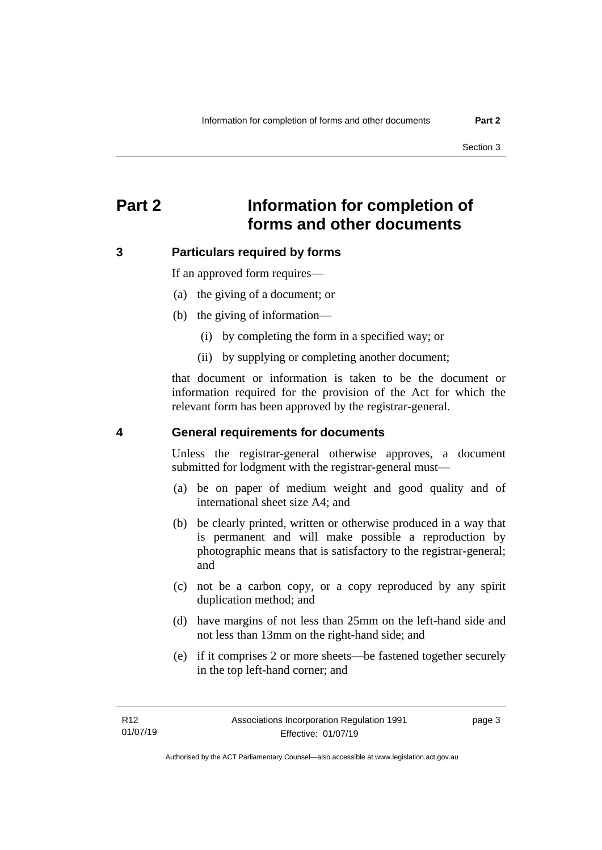# <span id="page-8-0"></span>**Part 2 Information for completion of forms and other documents**

### <span id="page-8-1"></span>**3 Particulars required by forms**

If an approved form requires—

- (a) the giving of a document; or
- (b) the giving of information—
	- (i) by completing the form in a specified way; or
	- (ii) by supplying or completing another document;

that document or information is taken to be the document or information required for the provision of the Act for which the relevant form has been approved by the registrar-general.

### <span id="page-8-2"></span>**4 General requirements for documents**

Unless the registrar-general otherwise approves, a document submitted for lodgment with the registrar-general must—

- (a) be on paper of medium weight and good quality and of international sheet size A4; and
- (b) be clearly printed, written or otherwise produced in a way that is permanent and will make possible a reproduction by photographic means that is satisfactory to the registrar-general; and
- (c) not be a carbon copy, or a copy reproduced by any spirit duplication method; and
- (d) have margins of not less than 25mm on the left-hand side and not less than 13mm on the right-hand side; and
- (e) if it comprises 2 or more sheets—be fastened together securely in the top left-hand corner; and

page 3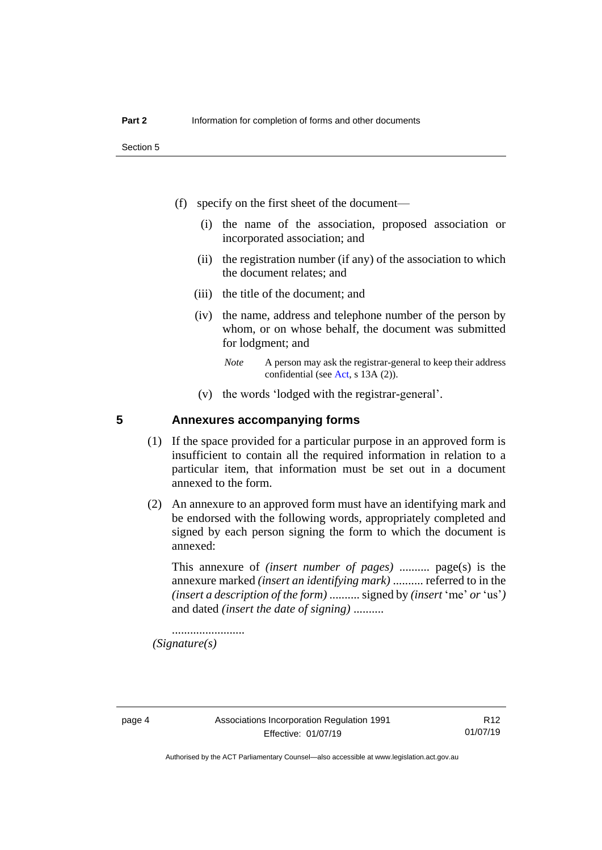Section 5

- (f) specify on the first sheet of the document—
	- (i) the name of the association, proposed association or incorporated association; and
	- (ii) the registration number (if any) of the association to which the document relates; and
	- (iii) the title of the document; and
	- (iv) the name, address and telephone number of the person by whom, or on whose behalf, the document was submitted for lodgment; and
		- *Note* A person may ask the registrar-general to keep their address confidential (see [Act,](http://www.legislation.act.gov.au/a/1991-46/default.asp) s 13A (2)).
	- (v) the words 'lodged with the registrar-general'.

## <span id="page-9-0"></span>**5 Annexures accompanying forms**

- (1) If the space provided for a particular purpose in an approved form is insufficient to contain all the required information in relation to a particular item, that information must be set out in a document annexed to the form.
- (2) An annexure to an approved form must have an identifying mark and be endorsed with the following words, appropriately completed and signed by each person signing the form to which the document is annexed:

This annexure of *(insert number of pages)* .......... page(s) is the annexure marked *(insert an identifying mark)* .......... referred to in the *(insert a description of the form)* .......... signed by *(insert* 'me' *or* 'us'*)* and dated *(insert the date of signing)* ..........

........................ *(Signature(s)*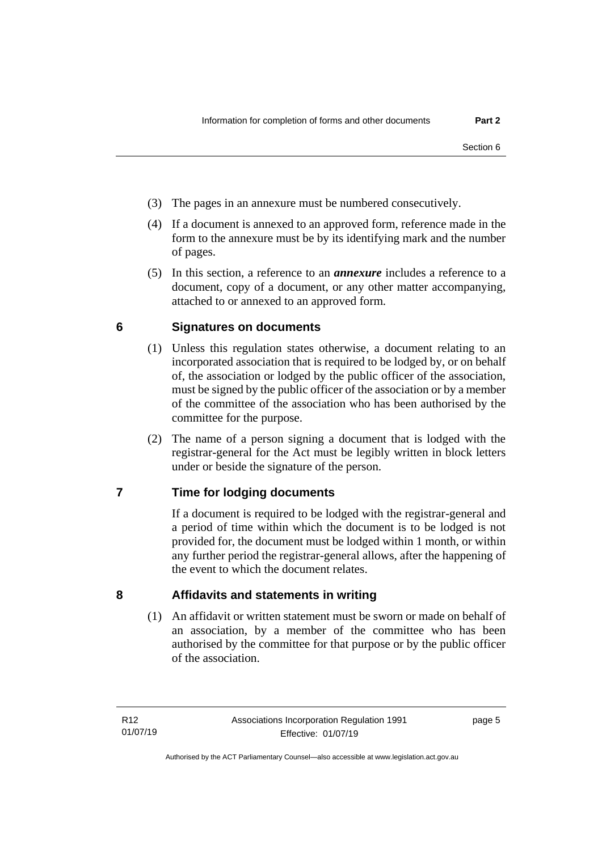- (3) The pages in an annexure must be numbered consecutively.
- (4) If a document is annexed to an approved form, reference made in the form to the annexure must be by its identifying mark and the number of pages.
- (5) In this section, a reference to an *annexure* includes a reference to a document, copy of a document, or any other matter accompanying, attached to or annexed to an approved form.

# <span id="page-10-0"></span>**6 Signatures on documents**

- (1) Unless this regulation states otherwise, a document relating to an incorporated association that is required to be lodged by, or on behalf of, the association or lodged by the public officer of the association, must be signed by the public officer of the association or by a member of the committee of the association who has been authorised by the committee for the purpose.
- (2) The name of a person signing a document that is lodged with the registrar-general for the Act must be legibly written in block letters under or beside the signature of the person.

# <span id="page-10-1"></span>**7 Time for lodging documents**

If a document is required to be lodged with the registrar-general and a period of time within which the document is to be lodged is not provided for, the document must be lodged within 1 month, or within any further period the registrar-general allows, after the happening of the event to which the document relates.

# <span id="page-10-2"></span>**8 Affidavits and statements in writing**

(1) An affidavit or written statement must be sworn or made on behalf of an association, by a member of the committee who has been authorised by the committee for that purpose or by the public officer of the association.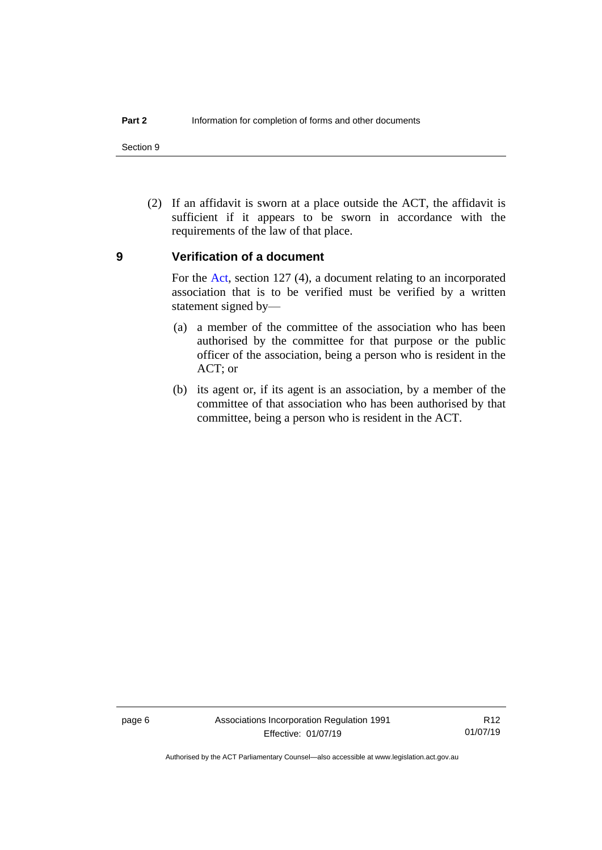Section 9

(2) If an affidavit is sworn at a place outside the ACT, the affidavit is sufficient if it appears to be sworn in accordance with the requirements of the law of that place.

### <span id="page-11-0"></span>**9 Verification of a document**

For the [Act,](http://www.legislation.act.gov.au/a/1991-46/default.asp) section 127 (4), a document relating to an incorporated association that is to be verified must be verified by a written statement signed by—

- (a) a member of the committee of the association who has been authorised by the committee for that purpose or the public officer of the association, being a person who is resident in the ACT; or
- (b) its agent or, if its agent is an association, by a member of the committee of that association who has been authorised by that committee, being a person who is resident in the ACT.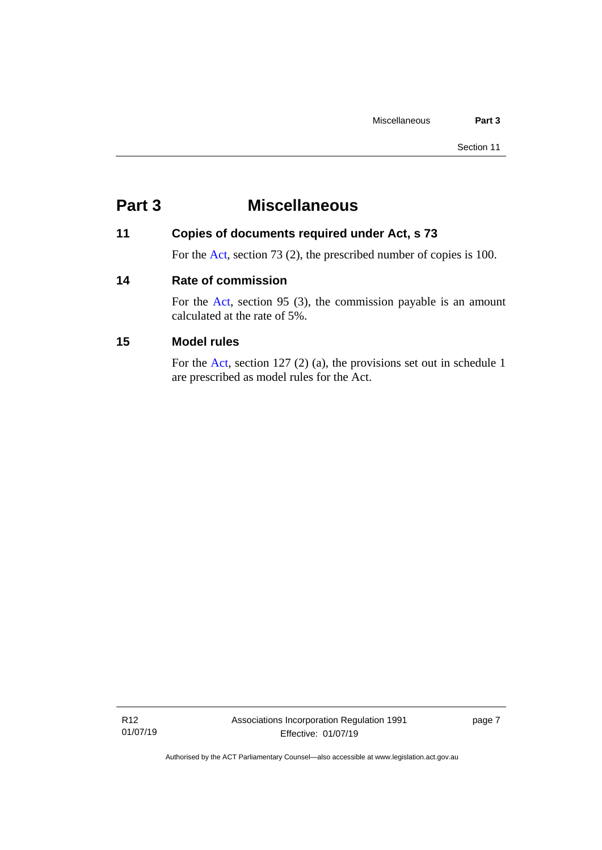# <span id="page-12-0"></span>**Part 3 Miscellaneous**

# <span id="page-12-1"></span>**11 Copies of documents required under Act, s 73**

For the [Act,](http://www.legislation.act.gov.au/a/1991-46/default.asp) section 73 (2), the prescribed number of copies is 100.

# <span id="page-12-2"></span>**14 Rate of commission**

For the [Act,](http://www.legislation.act.gov.au/a/1991-46/default.asp) section 95 (3), the commission payable is an amount calculated at the rate of 5%.

# <span id="page-12-3"></span>**15 Model rules**

For the [Act,](http://www.legislation.act.gov.au/a/1991-46/default.asp) section 127 (2) (a), the provisions set out in schedule 1 are prescribed as model rules for the Act.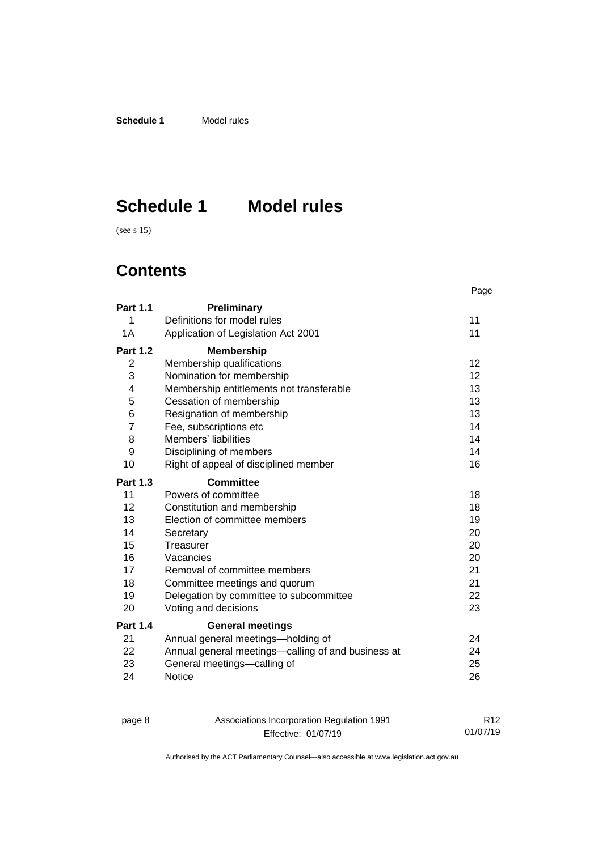**Schedule 1** Model rules

# <span id="page-13-0"></span>**Schedule 1 Model rules**

(see s 15)

# **Contents**

|                 |                                                    | Page |
|-----------------|----------------------------------------------------|------|
| <b>Part 1.1</b> | Preliminary                                        |      |
| 1               | Definitions for model rules                        | 11   |
| 1A              | Application of Legislation Act 2001                | 11   |
| <b>Part 1.2</b> | <b>Membership</b>                                  |      |
| $\overline{2}$  | Membership qualifications                          | 12   |
| 3               | Nomination for membership                          | 12   |
| 4               | Membership entitlements not transferable           | 13   |
| 5               | Cessation of membership                            | 13   |
| 6               | Resignation of membership                          | 13   |
| $\overline{7}$  | Fee, subscriptions etc                             | 14   |
| 8               | Members' liabilities                               | 14   |
| 9               | Disciplining of members                            | 14   |
| 10              | Right of appeal of disciplined member              | 16   |
| <b>Part 1.3</b> | <b>Committee</b>                                   |      |
| 11              | Powers of committee                                | 18   |
| 12              | Constitution and membership                        | 18   |
| 13              | Election of committee members                      | 19   |
| 14              | Secretary                                          | 20   |
| 15              | Treasurer                                          | 20   |
| 16              | Vacancies                                          | 20   |
| 17              | Removal of committee members                       | 21   |
| 18              | Committee meetings and quorum                      | 21   |
| 19              | Delegation by committee to subcommittee            | 22   |
| 20              | Voting and decisions                               | 23   |
| <b>Part 1.4</b> | <b>General meetings</b>                            |      |
| 21              | Annual general meetings-holding of                 | 24   |
| 22              | Annual general meetings—calling of and business at | 24   |
| 23              | General meetings-calling of                        | 25   |
| 24              | <b>Notice</b>                                      | 26   |

page 8 Associations Incorporation Regulation 1991 Effective: 01/07/19

R12 01/07/19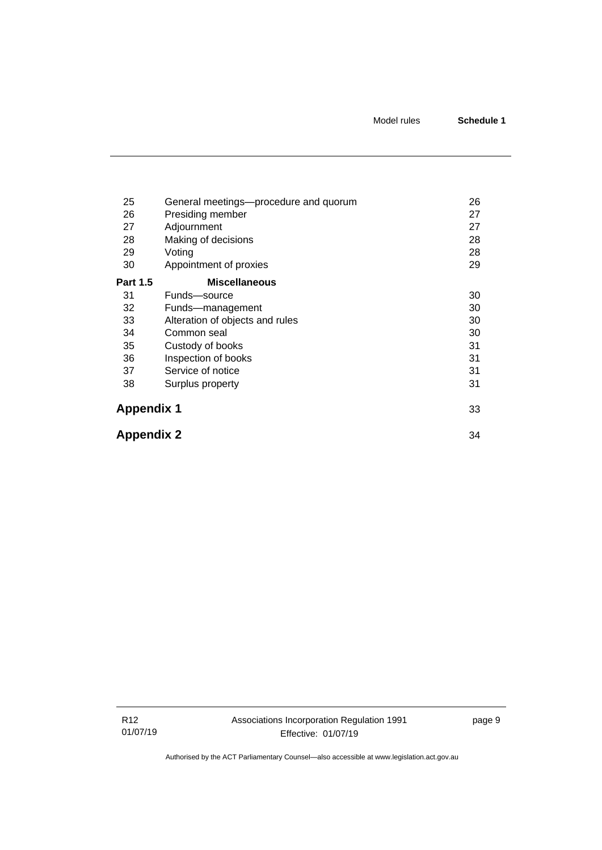| 25                | General meetings—procedure and quorum | 26 |
|-------------------|---------------------------------------|----|
| 26                | Presiding member                      | 27 |
| 27                | Adjournment                           | 27 |
| 28                | Making of decisions                   | 28 |
| 29                | Voting                                | 28 |
| 30                | Appointment of proxies                | 29 |
| <b>Part 1.5</b>   | <b>Miscellaneous</b>                  |    |
| 31                | Funds-source                          | 30 |
| 32                | Funds-management                      | 30 |
| 33                | Alteration of objects and rules       | 30 |
| 34                | Common seal                           | 30 |
| 35                | Custody of books                      | 31 |
| 36                | Inspection of books                   | 31 |
| 37                | Service of notice                     | 31 |
| 38                | Surplus property                      | 31 |
| <b>Appendix 1</b> |                                       | 33 |
| <b>Appendix 2</b> |                                       | 34 |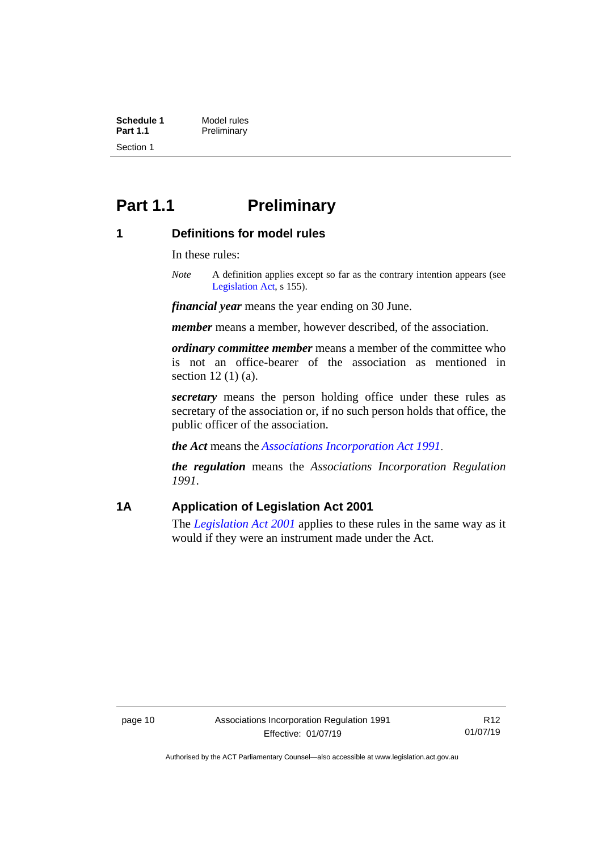**Schedule 1** Model rules<br> **Part 1.1** Preliminary **Preliminary** Section 1

# <span id="page-15-0"></span>**Part 1.1 Preliminary**

### <span id="page-15-1"></span>**1 Definitions for model rules**

In these rules:

*Note* A definition applies except so far as the contrary intention appears (see [Legislation Act,](http://www.legislation.act.gov.au/a/2001-14) s 155).

*financial year* means the year ending on 30 June.

*member* means a member, however described, of the association.

*ordinary committee member* means a member of the committee who is not an office-bearer of the association as mentioned in section 12 (1) (a).

*secretary* means the person holding office under these rules as secretary of the association or, if no such person holds that office, the public officer of the association.

*the Act* means the *[Associations Incorporation Act 1991](http://www.legislation.act.gov.au/a/1991-46)*.

*the regulation* means the *Associations Incorporation Regulation 1991*.

# <span id="page-15-2"></span>**1A Application of Legislation Act 2001**

The *[Legislation Act 2001](http://www.legislation.act.gov.au/a/2001-14)* applies to these rules in the same way as it would if they were an instrument made under the Act.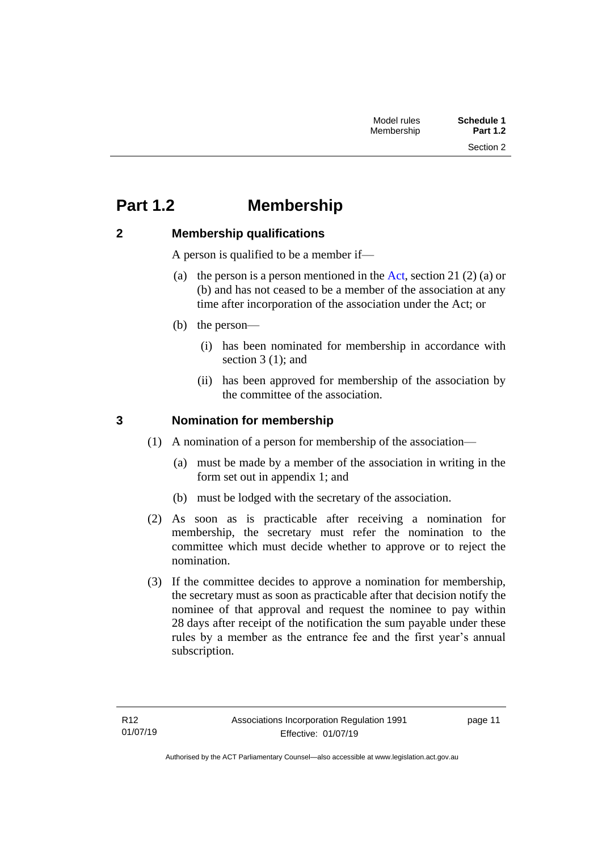# <span id="page-16-0"></span>**Part 1.2 Membership**

# <span id="page-16-1"></span>**2 Membership qualifications**

A person is qualified to be a member if—

- (a) the person is a person mentioned in the [Act,](http://www.legislation.act.gov.au/a/1991-46/default.asp) section 21 (2) (a) or (b) and has not ceased to be a member of the association at any time after incorporation of the association under the Act; or
- (b) the person—
	- (i) has been nominated for membership in accordance with section 3 (1); and
	- (ii) has been approved for membership of the association by the committee of the association.

# <span id="page-16-2"></span>**3 Nomination for membership**

- (1) A nomination of a person for membership of the association—
	- (a) must be made by a member of the association in writing in the form set out in appendix 1; and
	- (b) must be lodged with the secretary of the association.
- (2) As soon as is practicable after receiving a nomination for membership, the secretary must refer the nomination to the committee which must decide whether to approve or to reject the nomination.
- (3) If the committee decides to approve a nomination for membership, the secretary must as soon as practicable after that decision notify the nominee of that approval and request the nominee to pay within 28 days after receipt of the notification the sum payable under these rules by a member as the entrance fee and the first year's annual subscription.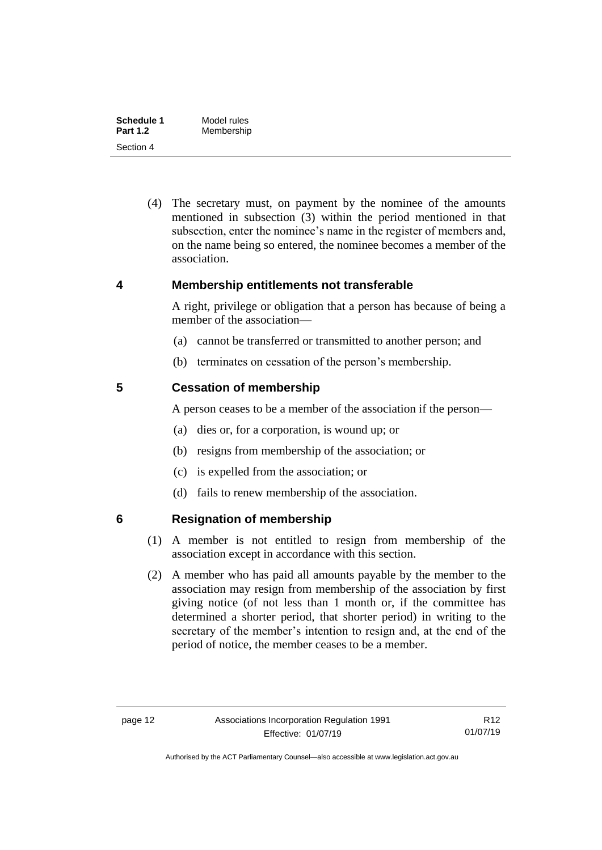| Schedule 1      | Model rules |  |
|-----------------|-------------|--|
| <b>Part 1.2</b> | Membership  |  |
| Section 4       |             |  |

(4) The secretary must, on payment by the nominee of the amounts mentioned in subsection (3) within the period mentioned in that subsection, enter the nominee's name in the register of members and, on the name being so entered, the nominee becomes a member of the association.

### <span id="page-17-0"></span>**4 Membership entitlements not transferable**

A right, privilege or obligation that a person has because of being a member of the association—

- (a) cannot be transferred or transmitted to another person; and
- (b) terminates on cessation of the person's membership.

# <span id="page-17-1"></span>**5 Cessation of membership**

A person ceases to be a member of the association if the person—

- (a) dies or, for a corporation, is wound up; or
- (b) resigns from membership of the association; or
- (c) is expelled from the association; or
- (d) fails to renew membership of the association.

# <span id="page-17-2"></span>**6 Resignation of membership**

- (1) A member is not entitled to resign from membership of the association except in accordance with this section.
- (2) A member who has paid all amounts payable by the member to the association may resign from membership of the association by first giving notice (of not less than 1 month or, if the committee has determined a shorter period, that shorter period) in writing to the secretary of the member's intention to resign and, at the end of the period of notice, the member ceases to be a member.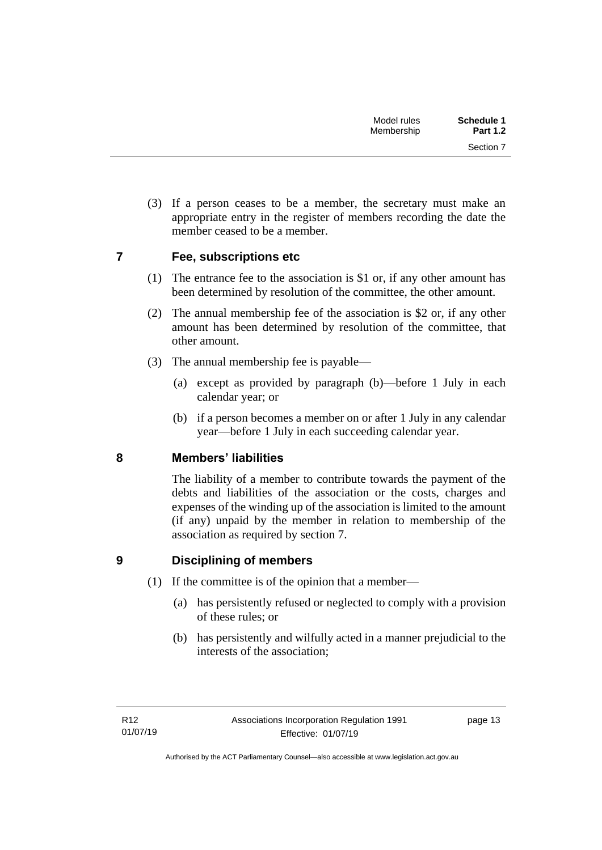Section 7

(3) If a person ceases to be a member, the secretary must make an appropriate entry in the register of members recording the date the member ceased to be a member.

# <span id="page-18-0"></span>**7 Fee, subscriptions etc**

- (1) The entrance fee to the association is \$1 or, if any other amount has been determined by resolution of the committee, the other amount.
- (2) The annual membership fee of the association is \$2 or, if any other amount has been determined by resolution of the committee, that other amount.
- (3) The annual membership fee is payable—
	- (a) except as provided by paragraph (b)—before 1 July in each calendar year; or
	- (b) if a person becomes a member on or after 1 July in any calendar year—before 1 July in each succeeding calendar year.

# <span id="page-18-1"></span>**8 Members' liabilities**

The liability of a member to contribute towards the payment of the debts and liabilities of the association or the costs, charges and expenses of the winding up of the association is limited to the amount (if any) unpaid by the member in relation to membership of the association as required by section 7.

# <span id="page-18-2"></span>**9 Disciplining of members**

- (1) If the committee is of the opinion that a member—
	- (a) has persistently refused or neglected to comply with a provision of these rules; or
	- (b) has persistently and wilfully acted in a manner prejudicial to the interests of the association;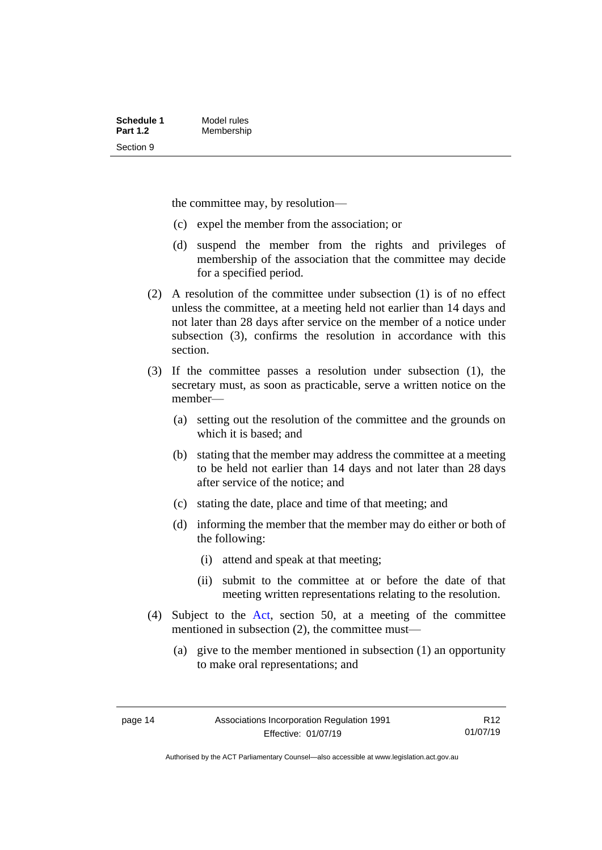the committee may, by resolution—

- (c) expel the member from the association; or
- (d) suspend the member from the rights and privileges of membership of the association that the committee may decide for a specified period.
- (2) A resolution of the committee under subsection (1) is of no effect unless the committee, at a meeting held not earlier than 14 days and not later than 28 days after service on the member of a notice under subsection (3), confirms the resolution in accordance with this section.
- (3) If the committee passes a resolution under subsection (1), the secretary must, as soon as practicable, serve a written notice on the member—
	- (a) setting out the resolution of the committee and the grounds on which it is based; and
	- (b) stating that the member may address the committee at a meeting to be held not earlier than 14 days and not later than 28 days after service of the notice; and
	- (c) stating the date, place and time of that meeting; and
	- (d) informing the member that the member may do either or both of the following:
		- (i) attend and speak at that meeting;
		- (ii) submit to the committee at or before the date of that meeting written representations relating to the resolution.
- (4) Subject to the [Act,](http://www.legislation.act.gov.au/a/1991-46/default.asp) section 50, at a meeting of the committee mentioned in subsection (2), the committee must—
	- (a) give to the member mentioned in subsection (1) an opportunity to make oral representations; and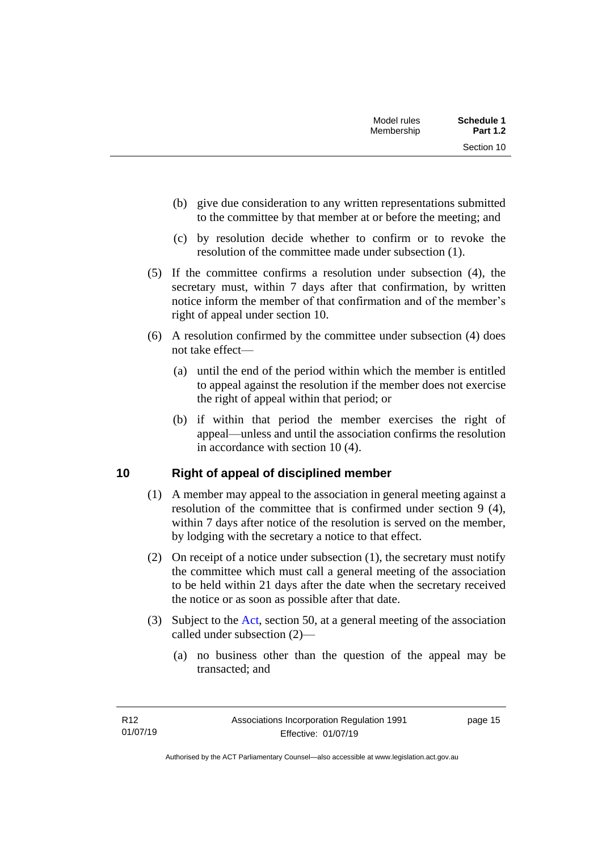- (b) give due consideration to any written representations submitted to the committee by that member at or before the meeting; and
- (c) by resolution decide whether to confirm or to revoke the resolution of the committee made under subsection (1).
- (5) If the committee confirms a resolution under subsection (4), the secretary must, within 7 days after that confirmation, by written notice inform the member of that confirmation and of the member's right of appeal under section 10.
- (6) A resolution confirmed by the committee under subsection (4) does not take effect—
	- (a) until the end of the period within which the member is entitled to appeal against the resolution if the member does not exercise the right of appeal within that period; or
	- (b) if within that period the member exercises the right of appeal—unless and until the association confirms the resolution in accordance with section 10 (4).

# <span id="page-20-0"></span>**10 Right of appeal of disciplined member**

- (1) A member may appeal to the association in general meeting against a resolution of the committee that is confirmed under section 9 (4), within 7 days after notice of the resolution is served on the member, by lodging with the secretary a notice to that effect.
- (2) On receipt of a notice under subsection (1), the secretary must notify the committee which must call a general meeting of the association to be held within 21 days after the date when the secretary received the notice or as soon as possible after that date.
- (3) Subject to the [Act,](http://www.legislation.act.gov.au/a/1991-46/default.asp) section 50, at a general meeting of the association called under subsection (2)—
	- (a) no business other than the question of the appeal may be transacted; and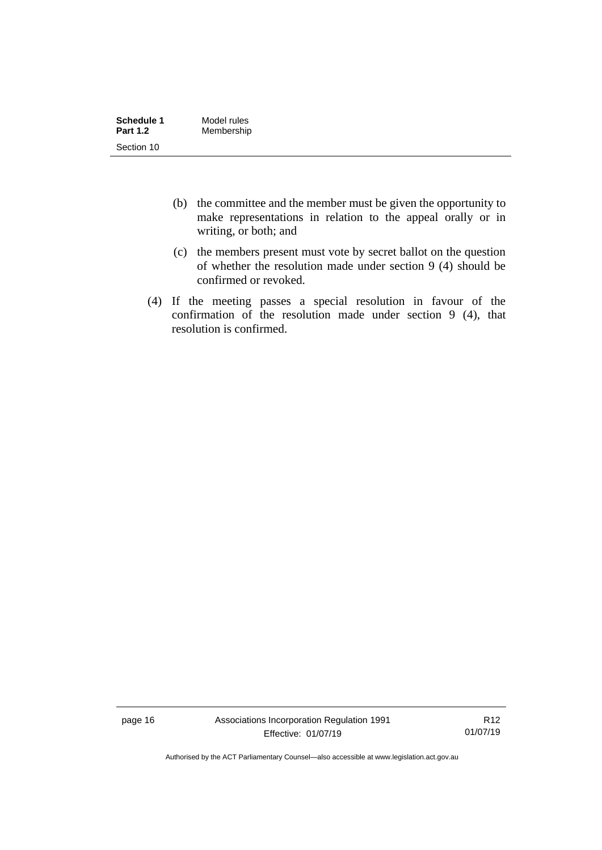| Schedule 1      | Model rules |
|-----------------|-------------|
| <b>Part 1.2</b> | Membership  |
| Section 10      |             |

- (b) the committee and the member must be given the opportunity to make representations in relation to the appeal orally or in writing, or both; and
- (c) the members present must vote by secret ballot on the question of whether the resolution made under section 9 (4) should be confirmed or revoked.
- (4) If the meeting passes a special resolution in favour of the confirmation of the resolution made under section 9 (4), that resolution is confirmed.

page 16 Associations Incorporation Regulation 1991 Effective: 01/07/19

R12 01/07/19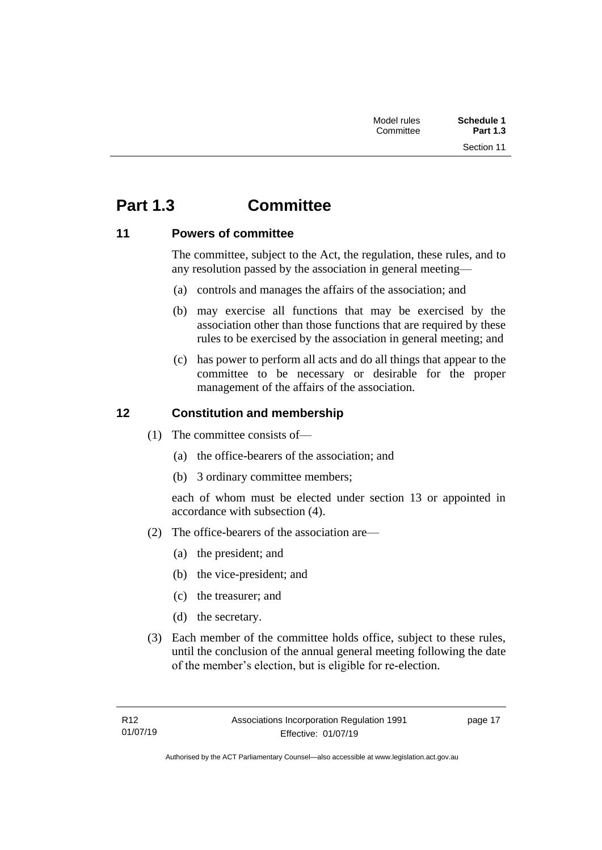# <span id="page-22-0"></span>**Part 1.3 Committee**

# <span id="page-22-1"></span>**11 Powers of committee**

The committee, subject to the Act, the regulation, these rules, and to any resolution passed by the association in general meeting—

- (a) controls and manages the affairs of the association; and
- (b) may exercise all functions that may be exercised by the association other than those functions that are required by these rules to be exercised by the association in general meeting; and
- (c) has power to perform all acts and do all things that appear to the committee to be necessary or desirable for the proper management of the affairs of the association.

# <span id="page-22-2"></span>**12 Constitution and membership**

- (1) The committee consists of—
	- (a) the office-bearers of the association; and
	- (b) 3 ordinary committee members;

each of whom must be elected under section 13 or appointed in accordance with subsection (4).

- (2) The office-bearers of the association are—
	- (a) the president; and
	- (b) the vice-president; and
	- (c) the treasurer; and
	- (d) the secretary.
- (3) Each member of the committee holds office, subject to these rules, until the conclusion of the annual general meeting following the date of the member's election, but is eligible for re-election.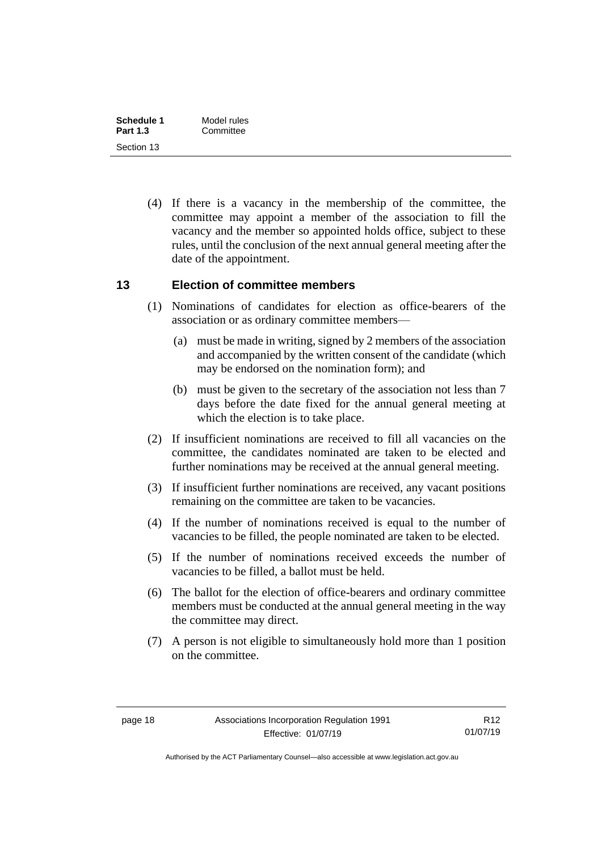| Schedule 1      | Model rules |  |
|-----------------|-------------|--|
| <b>Part 1.3</b> | Committee   |  |
| Section 13      |             |  |

(4) If there is a vacancy in the membership of the committee, the committee may appoint a member of the association to fill the vacancy and the member so appointed holds office, subject to these rules, until the conclusion of the next annual general meeting after the date of the appointment.

### <span id="page-23-0"></span>**13 Election of committee members**

- (1) Nominations of candidates for election as office-bearers of the association or as ordinary committee members—
	- (a) must be made in writing, signed by 2 members of the association and accompanied by the written consent of the candidate (which may be endorsed on the nomination form); and
	- (b) must be given to the secretary of the association not less than 7 days before the date fixed for the annual general meeting at which the election is to take place.
- (2) If insufficient nominations are received to fill all vacancies on the committee, the candidates nominated are taken to be elected and further nominations may be received at the annual general meeting.
- (3) If insufficient further nominations are received, any vacant positions remaining on the committee are taken to be vacancies.
- (4) If the number of nominations received is equal to the number of vacancies to be filled, the people nominated are taken to be elected.
- (5) If the number of nominations received exceeds the number of vacancies to be filled, a ballot must be held.
- (6) The ballot for the election of office-bearers and ordinary committee members must be conducted at the annual general meeting in the way the committee may direct.
- (7) A person is not eligible to simultaneously hold more than 1 position on the committee.

Authorised by the ACT Parliamentary Counsel—also accessible at www.legislation.act.gov.au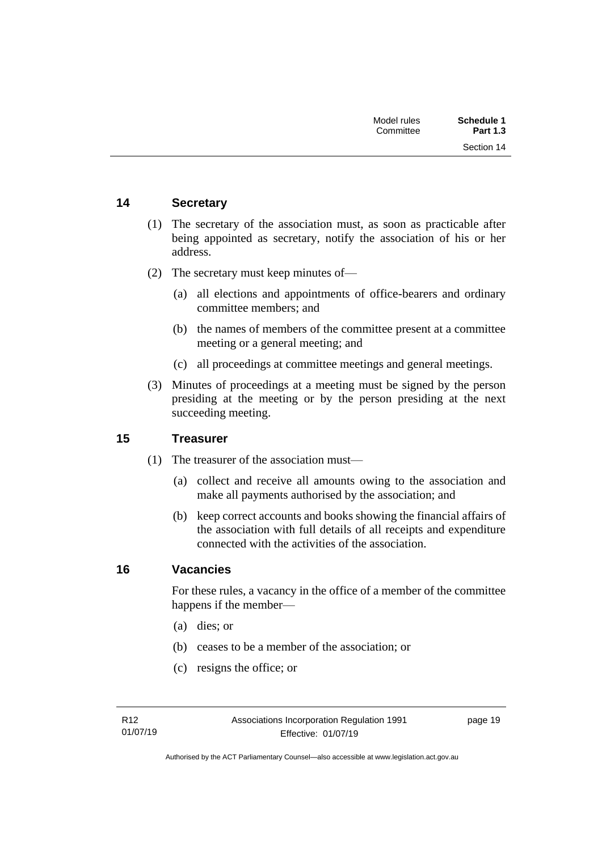| Schedule 1      | Model rules |
|-----------------|-------------|
| <b>Part 1.3</b> | Committee   |
| Section 14      |             |

# <span id="page-24-0"></span>**14 Secretary**

- (1) The secretary of the association must, as soon as practicable after being appointed as secretary, notify the association of his or her address.
- (2) The secretary must keep minutes of—
	- (a) all elections and appointments of office-bearers and ordinary committee members; and
	- (b) the names of members of the committee present at a committee meeting or a general meeting; and
	- (c) all proceedings at committee meetings and general meetings.
- (3) Minutes of proceedings at a meeting must be signed by the person presiding at the meeting or by the person presiding at the next succeeding meeting.

## <span id="page-24-1"></span>**15 Treasurer**

- (1) The treasurer of the association must—
	- (a) collect and receive all amounts owing to the association and make all payments authorised by the association; and
	- (b) keep correct accounts and books showing the financial affairs of the association with full details of all receipts and expenditure connected with the activities of the association.

### <span id="page-24-2"></span>**16 Vacancies**

For these rules, a vacancy in the office of a member of the committee happens if the member—

- (a) dies; or
- (b) ceases to be a member of the association; or
- (c) resigns the office; or

page 19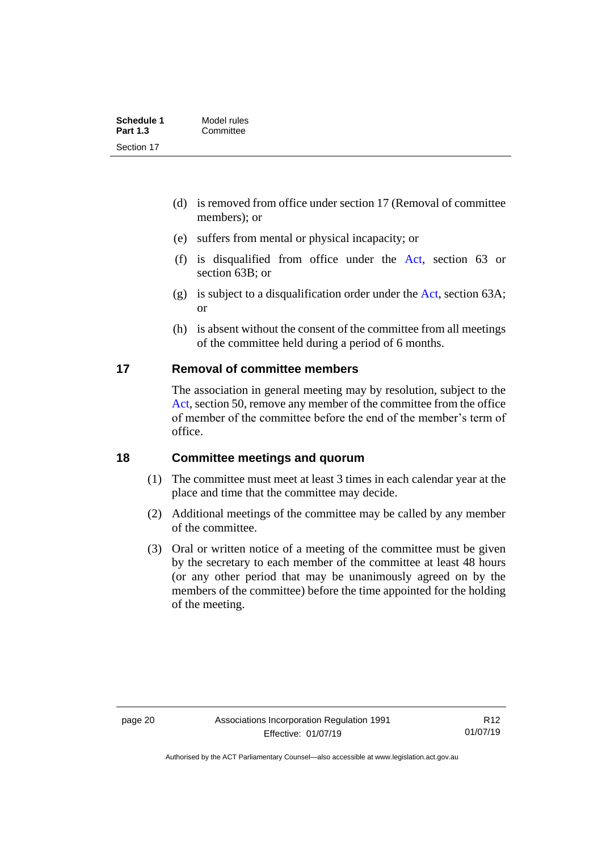| Schedule 1      | Model rules |  |
|-----------------|-------------|--|
| <b>Part 1.3</b> | Committee   |  |
| Section 17      |             |  |

- (d) is removed from office under section 17 (Removal of committee members); or
- (e) suffers from mental or physical incapacity; or
- (f) is disqualified from office under the [Act,](http://www.legislation.act.gov.au/a/1991-46/default.asp) section 63 or section 63B; or
- (g) is subject to a disqualification order under the [Act,](http://www.legislation.act.gov.au/a/1991-46/default.asp) section 63A; or
- (h) is absent without the consent of the committee from all meetings of the committee held during a period of 6 months.

# <span id="page-25-0"></span>**17 Removal of committee members**

The association in general meeting may by resolution, subject to the [Act,](http://www.legislation.act.gov.au/a/1991-46/default.asp) section 50, remove any member of the committee from the office of member of the committee before the end of the member's term of office.

### <span id="page-25-1"></span>**18 Committee meetings and quorum**

- (1) The committee must meet at least 3 times in each calendar year at the place and time that the committee may decide.
- (2) Additional meetings of the committee may be called by any member of the committee.
- (3) Oral or written notice of a meeting of the committee must be given by the secretary to each member of the committee at least 48 hours (or any other period that may be unanimously agreed on by the members of the committee) before the time appointed for the holding of the meeting.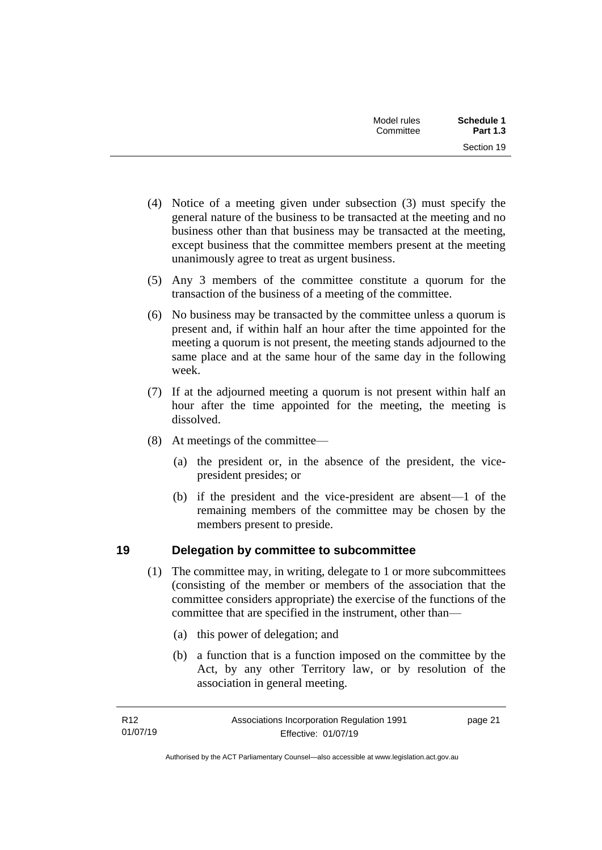| Model rules<br>Committee | Schedule 1<br><b>Part 1.3</b> |
|--------------------------|-------------------------------|
|                          | Section 19                    |

- (4) Notice of a meeting given under subsection (3) must specify the general nature of the business to be transacted at the meeting and no business other than that business may be transacted at the meeting, except business that the committee members present at the meeting unanimously agree to treat as urgent business.
- (5) Any 3 members of the committee constitute a quorum for the transaction of the business of a meeting of the committee.
- (6) No business may be transacted by the committee unless a quorum is present and, if within half an hour after the time appointed for the meeting a quorum is not present, the meeting stands adjourned to the same place and at the same hour of the same day in the following week.
- (7) If at the adjourned meeting a quorum is not present within half an hour after the time appointed for the meeting, the meeting is dissolved.
- (8) At meetings of the committee—
	- (a) the president or, in the absence of the president, the vicepresident presides; or
	- (b) if the president and the vice-president are absent—1 of the remaining members of the committee may be chosen by the members present to preside.

# <span id="page-26-0"></span>**19 Delegation by committee to subcommittee**

- (1) The committee may, in writing, delegate to 1 or more subcommittees (consisting of the member or members of the association that the committee considers appropriate) the exercise of the functions of the committee that are specified in the instrument, other than—
	- (a) this power of delegation; and
	- (b) a function that is a function imposed on the committee by the Act, by any other Territory law, or by resolution of the association in general meeting.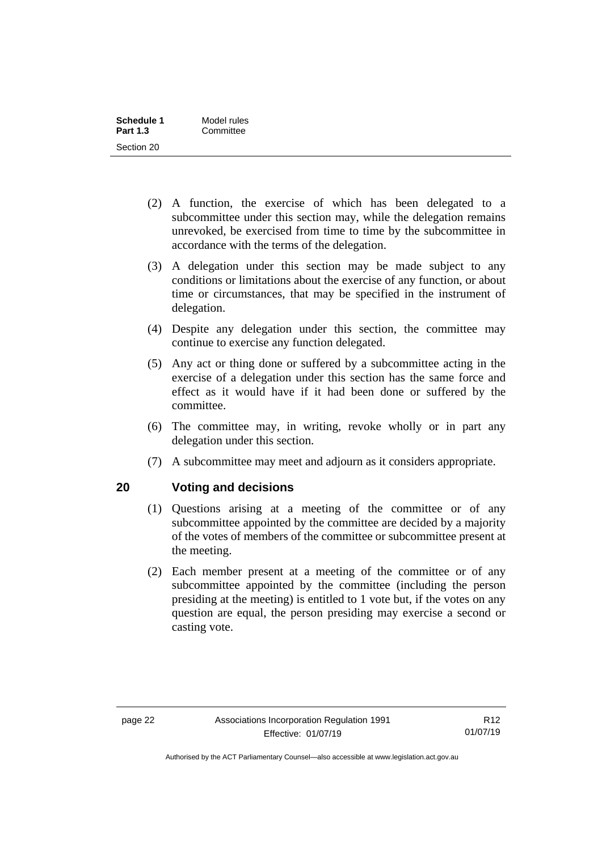| Schedule 1      | Model rules |  |
|-----------------|-------------|--|
| <b>Part 1.3</b> | Committee   |  |
| Section 20      |             |  |

- (2) A function, the exercise of which has been delegated to a subcommittee under this section may, while the delegation remains unrevoked, be exercised from time to time by the subcommittee in accordance with the terms of the delegation.
- (3) A delegation under this section may be made subject to any conditions or limitations about the exercise of any function, or about time or circumstances, that may be specified in the instrument of delegation.
- (4) Despite any delegation under this section, the committee may continue to exercise any function delegated.
- (5) Any act or thing done or suffered by a subcommittee acting in the exercise of a delegation under this section has the same force and effect as it would have if it had been done or suffered by the committee.
- (6) The committee may, in writing, revoke wholly or in part any delegation under this section.
- (7) A subcommittee may meet and adjourn as it considers appropriate.

# <span id="page-27-0"></span>**20 Voting and decisions**

- (1) Questions arising at a meeting of the committee or of any subcommittee appointed by the committee are decided by a majority of the votes of members of the committee or subcommittee present at the meeting.
- (2) Each member present at a meeting of the committee or of any subcommittee appointed by the committee (including the person presiding at the meeting) is entitled to 1 vote but, if the votes on any question are equal, the person presiding may exercise a second or casting vote.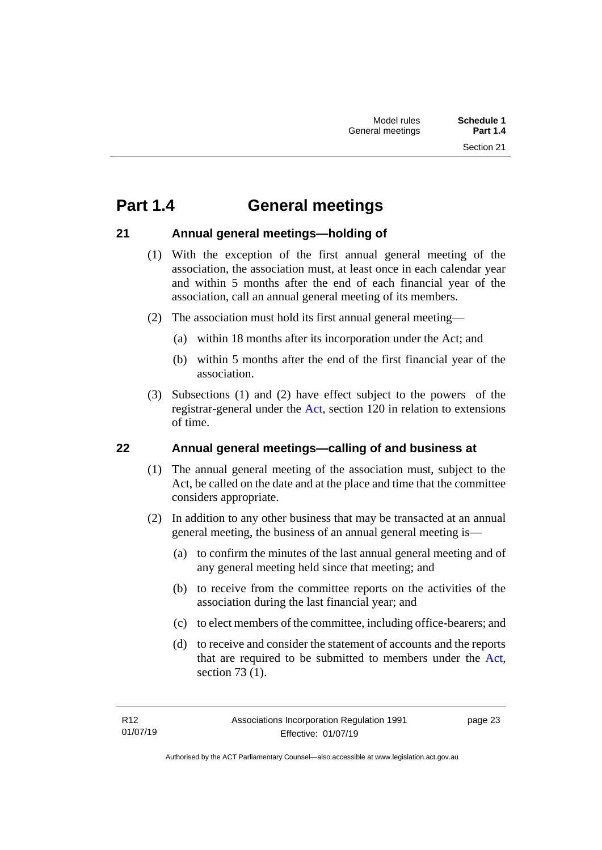# <span id="page-28-0"></span>**Part 1.4 General meetings**

# <span id="page-28-1"></span>**21 Annual general meetings—holding of**

- (1) With the exception of the first annual general meeting of the association, the association must, at least once in each calendar year and within 5 months after the end of each financial year of the association, call an annual general meeting of its members.
- (2) The association must hold its first annual general meeting—
	- (a) within 18 months after its incorporation under the Act; and
	- (b) within 5 months after the end of the first financial year of the association.
- (3) Subsections (1) and (2) have effect subject to the powers of the registrar-general under the [Act,](http://www.legislation.act.gov.au/a/1991-46/default.asp) section 120 in relation to extensions of time.

# <span id="page-28-2"></span>**22 Annual general meetings—calling of and business at**

- (1) The annual general meeting of the association must, subject to the Act, be called on the date and at the place and time that the committee considers appropriate.
- (2) In addition to any other business that may be transacted at an annual general meeting, the business of an annual general meeting is—
	- (a) to confirm the minutes of the last annual general meeting and of any general meeting held since that meeting; and
	- (b) to receive from the committee reports on the activities of the association during the last financial year; and
	- (c) to elect members of the committee, including office-bearers; and
	- (d) to receive and consider the statement of accounts and the reports that are required to be submitted to members under the [Act,](http://www.legislation.act.gov.au/a/1991-46/default.asp) section 73 (1).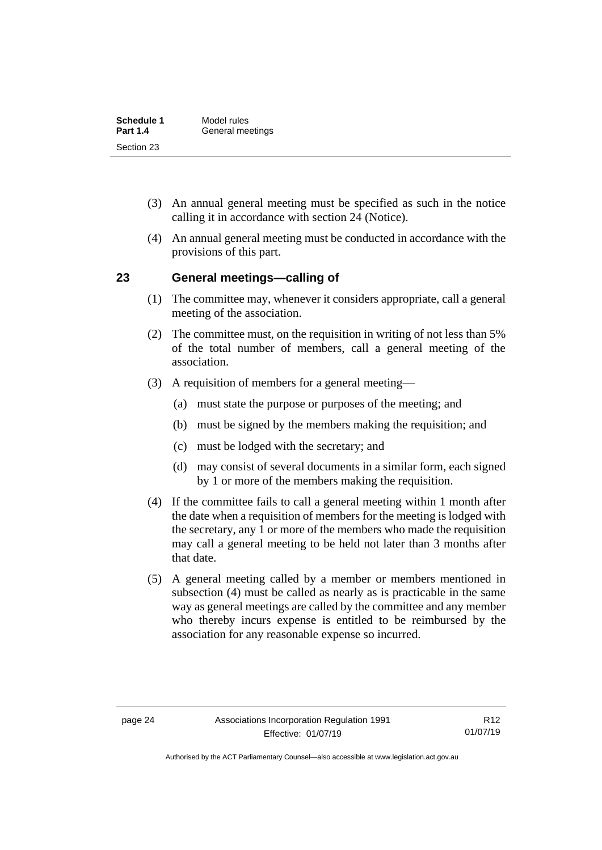| <b>Schedule 1</b> | Model rules      |
|-------------------|------------------|
| <b>Part 1.4</b>   | General meetings |
| Section 23        |                  |

- (3) An annual general meeting must be specified as such in the notice calling it in accordance with section 24 (Notice).
- (4) An annual general meeting must be conducted in accordance with the provisions of this part.

### <span id="page-29-0"></span>**23 General meetings—calling of**

- (1) The committee may, whenever it considers appropriate, call a general meeting of the association.
- (2) The committee must, on the requisition in writing of not less than 5% of the total number of members, call a general meeting of the association.
- (3) A requisition of members for a general meeting—
	- (a) must state the purpose or purposes of the meeting; and
	- (b) must be signed by the members making the requisition; and
	- (c) must be lodged with the secretary; and
	- (d) may consist of several documents in a similar form, each signed by 1 or more of the members making the requisition.
- (4) If the committee fails to call a general meeting within 1 month after the date when a requisition of members for the meeting is lodged with the secretary, any 1 or more of the members who made the requisition may call a general meeting to be held not later than 3 months after that date.
- (5) A general meeting called by a member or members mentioned in subsection (4) must be called as nearly as is practicable in the same way as general meetings are called by the committee and any member who thereby incurs expense is entitled to be reimbursed by the association for any reasonable expense so incurred.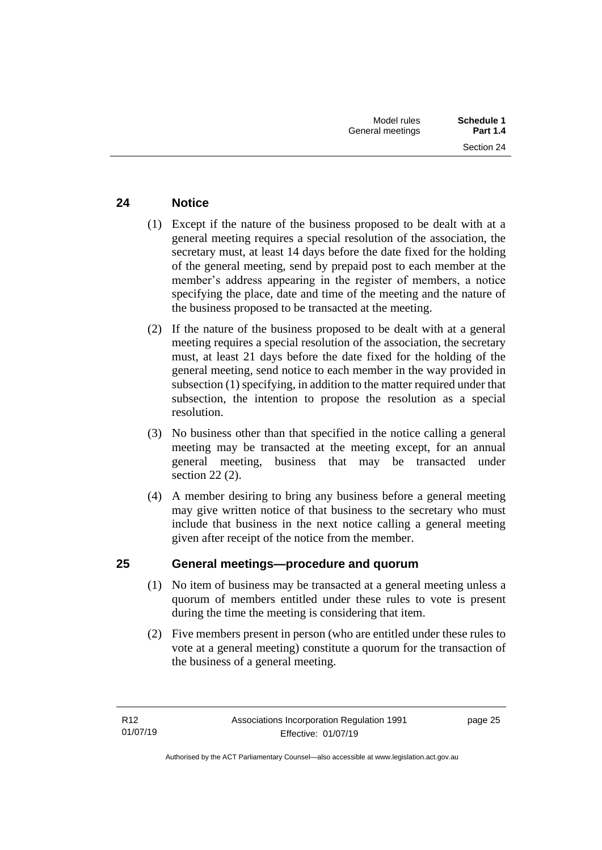# <span id="page-30-0"></span>**24 Notice**

- (1) Except if the nature of the business proposed to be dealt with at a general meeting requires a special resolution of the association, the secretary must, at least 14 days before the date fixed for the holding of the general meeting, send by prepaid post to each member at the member's address appearing in the register of members, a notice specifying the place, date and time of the meeting and the nature of the business proposed to be transacted at the meeting.
- (2) If the nature of the business proposed to be dealt with at a general meeting requires a special resolution of the association, the secretary must, at least 21 days before the date fixed for the holding of the general meeting, send notice to each member in the way provided in subsection (1) specifying, in addition to the matter required under that subsection, the intention to propose the resolution as a special resolution.
- (3) No business other than that specified in the notice calling a general meeting may be transacted at the meeting except, for an annual general meeting, business that may be transacted under section 22 (2).
- (4) A member desiring to bring any business before a general meeting may give written notice of that business to the secretary who must include that business in the next notice calling a general meeting given after receipt of the notice from the member.

# <span id="page-30-1"></span>**25 General meetings—procedure and quorum**

- (1) No item of business may be transacted at a general meeting unless a quorum of members entitled under these rules to vote is present during the time the meeting is considering that item.
- (2) Five members present in person (who are entitled under these rules to vote at a general meeting) constitute a quorum for the transaction of the business of a general meeting.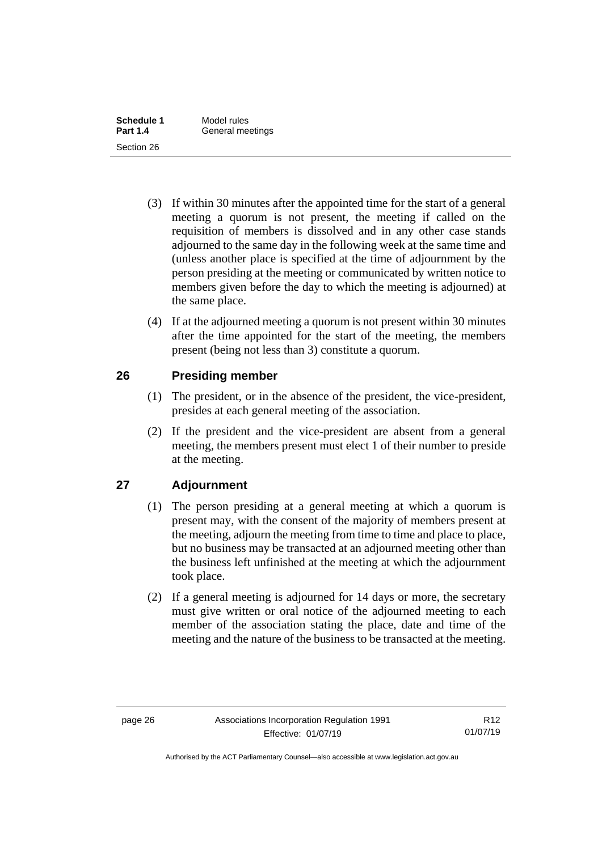| Schedule 1      | Model rules      |  |
|-----------------|------------------|--|
| <b>Part 1.4</b> | General meetings |  |
| Section 26      |                  |  |

- (3) If within 30 minutes after the appointed time for the start of a general meeting a quorum is not present, the meeting if called on the requisition of members is dissolved and in any other case stands adjourned to the same day in the following week at the same time and (unless another place is specified at the time of adjournment by the person presiding at the meeting or communicated by written notice to members given before the day to which the meeting is adjourned) at the same place.
- (4) If at the adjourned meeting a quorum is not present within 30 minutes after the time appointed for the start of the meeting, the members present (being not less than 3) constitute a quorum.

# <span id="page-31-0"></span>**26 Presiding member**

- (1) The president, or in the absence of the president, the vice-president, presides at each general meeting of the association.
- (2) If the president and the vice-president are absent from a general meeting, the members present must elect 1 of their number to preside at the meeting.

# <span id="page-31-1"></span>**27 Adjournment**

- (1) The person presiding at a general meeting at which a quorum is present may, with the consent of the majority of members present at the meeting, adjourn the meeting from time to time and place to place, but no business may be transacted at an adjourned meeting other than the business left unfinished at the meeting at which the adjournment took place.
- (2) If a general meeting is adjourned for 14 days or more, the secretary must give written or oral notice of the adjourned meeting to each member of the association stating the place, date and time of the meeting and the nature of the business to be transacted at the meeting.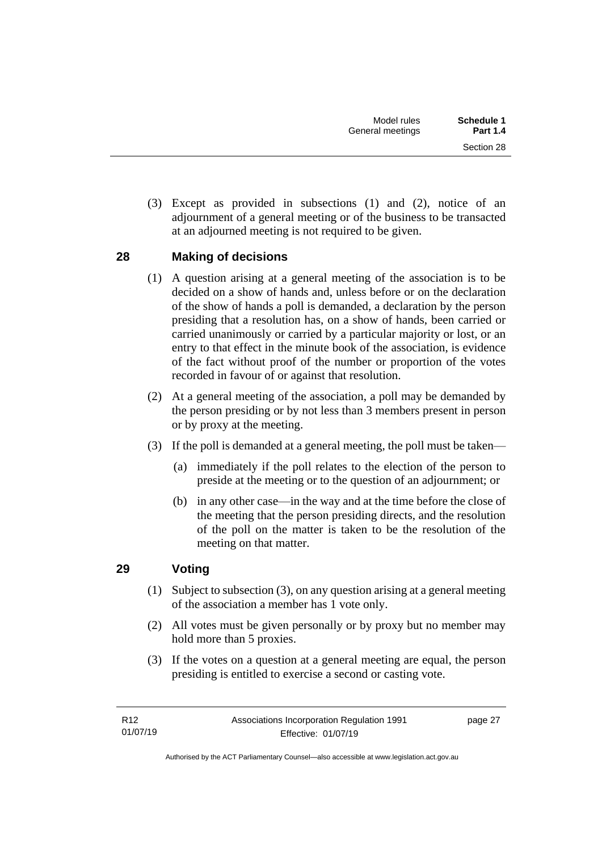(3) Except as provided in subsections (1) and (2), notice of an adjournment of a general meeting or of the business to be transacted at an adjourned meeting is not required to be given.

# <span id="page-32-0"></span>**28 Making of decisions**

- (1) A question arising at a general meeting of the association is to be decided on a show of hands and, unless before or on the declaration of the show of hands a poll is demanded, a declaration by the person presiding that a resolution has, on a show of hands, been carried or carried unanimously or carried by a particular majority or lost, or an entry to that effect in the minute book of the association, is evidence of the fact without proof of the number or proportion of the votes recorded in favour of or against that resolution.
- (2) At a general meeting of the association, a poll may be demanded by the person presiding or by not less than 3 members present in person or by proxy at the meeting.
- (3) If the poll is demanded at a general meeting, the poll must be taken—
	- (a) immediately if the poll relates to the election of the person to preside at the meeting or to the question of an adjournment; or
	- (b) in any other case—in the way and at the time before the close of the meeting that the person presiding directs, and the resolution of the poll on the matter is taken to be the resolution of the meeting on that matter.

# <span id="page-32-1"></span>**29 Voting**

- (1) Subject to subsection (3), on any question arising at a general meeting of the association a member has 1 vote only.
- (2) All votes must be given personally or by proxy but no member may hold more than 5 proxies.
- (3) If the votes on a question at a general meeting are equal, the person presiding is entitled to exercise a second or casting vote.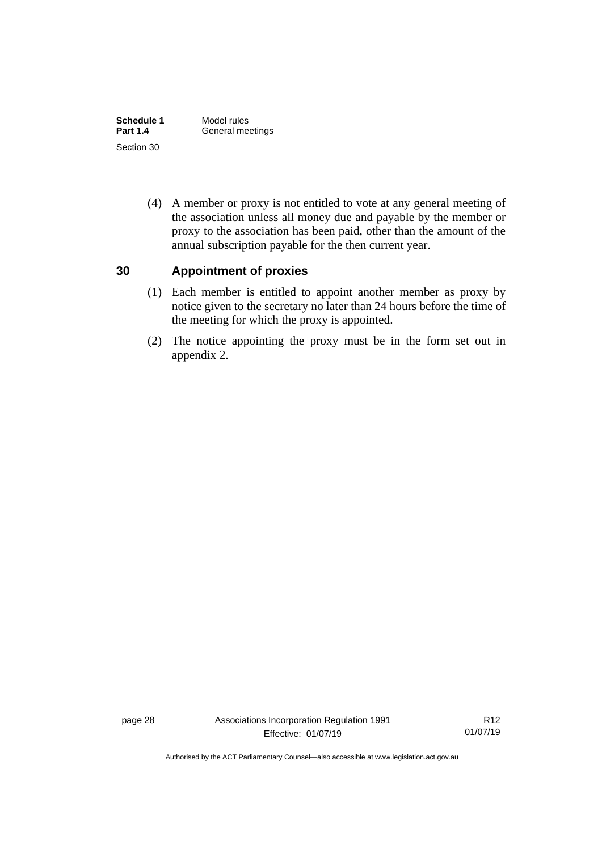| Schedule 1      | Model rules      |  |  |
|-----------------|------------------|--|--|
| <b>Part 1.4</b> | General meetings |  |  |
| Section 30      |                  |  |  |

(4) A member or proxy is not entitled to vote at any general meeting of the association unless all money due and payable by the member or proxy to the association has been paid, other than the amount of the annual subscription payable for the then current year.

### <span id="page-33-0"></span>**30 Appointment of proxies**

- (1) Each member is entitled to appoint another member as proxy by notice given to the secretary no later than 24 hours before the time of the meeting for which the proxy is appointed.
- (2) The notice appointing the proxy must be in the form set out in appendix 2.

Authorised by the ACT Parliamentary Counsel—also accessible at www.legislation.act.gov.au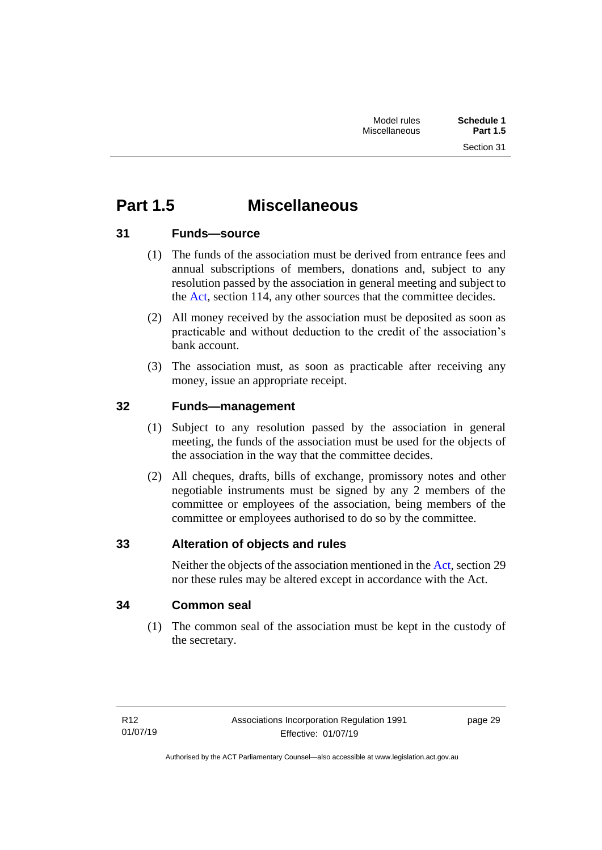# <span id="page-34-0"></span>**Part 1.5 Miscellaneous**

# <span id="page-34-1"></span>**31 Funds—source**

- (1) The funds of the association must be derived from entrance fees and annual subscriptions of members, donations and, subject to any resolution passed by the association in general meeting and subject to the [Act,](http://www.legislation.act.gov.au/a/1991-46/default.asp) section 114, any other sources that the committee decides.
- (2) All money received by the association must be deposited as soon as practicable and without deduction to the credit of the association's bank account.
- (3) The association must, as soon as practicable after receiving any money, issue an appropriate receipt.

# <span id="page-34-2"></span>**32 Funds—management**

- (1) Subject to any resolution passed by the association in general meeting, the funds of the association must be used for the objects of the association in the way that the committee decides.
- (2) All cheques, drafts, bills of exchange, promissory notes and other negotiable instruments must be signed by any 2 members of the committee or employees of the association, being members of the committee or employees authorised to do so by the committee.

# <span id="page-34-3"></span>**33 Alteration of objects and rules**

Neither the objects of the association mentioned in th[e Act,](http://www.legislation.act.gov.au/a/1991-46/default.asp) section 29 nor these rules may be altered except in accordance with the Act.

# <span id="page-34-4"></span>**34 Common seal**

(1) The common seal of the association must be kept in the custody of the secretary.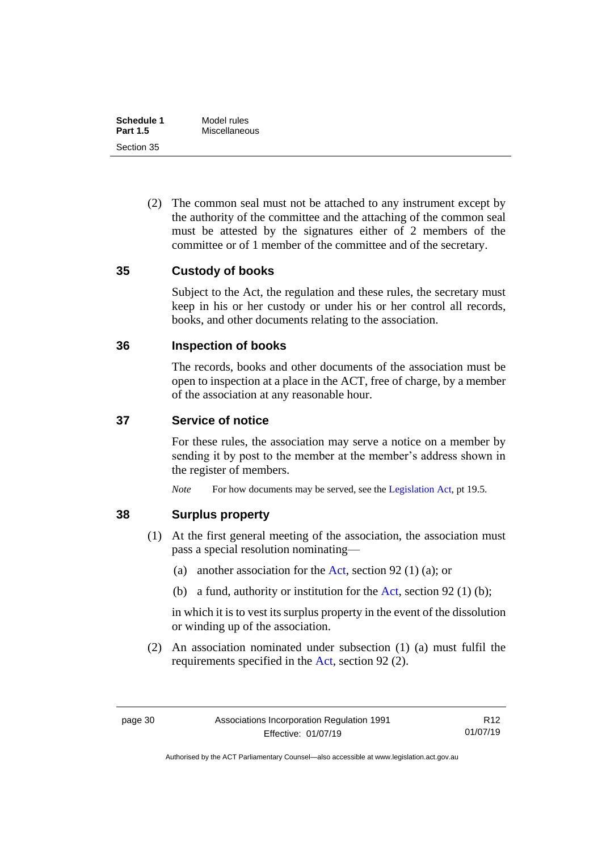| Schedule 1      | Model rules   |  |
|-----------------|---------------|--|
| <b>Part 1.5</b> | Miscellaneous |  |
| Section 35      |               |  |

(2) The common seal must not be attached to any instrument except by the authority of the committee and the attaching of the common seal must be attested by the signatures either of 2 members of the committee or of 1 member of the committee and of the secretary.

### <span id="page-35-0"></span>**35 Custody of books**

Subject to the Act, the regulation and these rules, the secretary must keep in his or her custody or under his or her control all records, books, and other documents relating to the association.

### <span id="page-35-1"></span>**36 Inspection of books**

The records, books and other documents of the association must be open to inspection at a place in the ACT, free of charge, by a member of the association at any reasonable hour.

### <span id="page-35-2"></span>**37 Service of notice**

For these rules, the association may serve a notice on a member by sending it by post to the member at the member's address shown in the register of members.

*Note* For how documents may be served, see th[e Legislation Act,](http://www.legislation.act.gov.au/a/2001-14) pt 19.5.

### <span id="page-35-3"></span>**38 Surplus property**

- (1) At the first general meeting of the association, the association must pass a special resolution nominating—
	- (a) another association for the [Act,](http://www.legislation.act.gov.au/a/1991-46/default.asp) section 92 (1) (a); or
	- (b) a fund, authority or institution for the [Act,](http://www.legislation.act.gov.au/a/1991-46/default.asp) section 92 (1) (b);

in which it is to vest its surplus property in the event of the dissolution or winding up of the association.

(2) An association nominated under subsection (1) (a) must fulfil the requirements specified in the [Act,](http://www.legislation.act.gov.au/a/1991-46/default.asp) section 92 (2).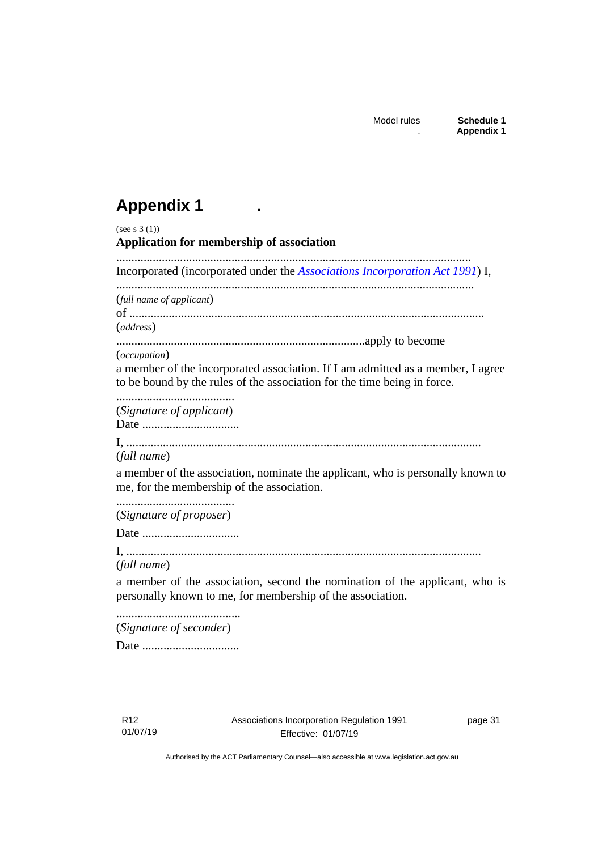# <span id="page-36-0"></span>**Appendix 1 .**

| (see s $3(1)$ )<br>Application for membership of association                                                                                                                |
|-----------------------------------------------------------------------------------------------------------------------------------------------------------------------------|
| Incorporated (incorporated under the Associations Incorporation Act 1991) I,                                                                                                |
| (full name of applicant)<br>(address)                                                                                                                                       |
| (occupation)<br>a member of the incorporated association. If I am admitted as a member, I agree<br>to be bound by the rules of the association for the time being in force. |
| (Signature of applicant)                                                                                                                                                    |
| (full name)<br>a member of the association, nominate the applicant, who is personally known to<br>me, for the membership of the association.                                |
| (Signature of proposer)                                                                                                                                                     |
|                                                                                                                                                                             |
| (full name)                                                                                                                                                                 |
| a member of the association, second the nomination of the applicant, who is<br>personally known to me, for membership of the association.                                   |
| (Signature of seconder)                                                                                                                                                     |

Date ................................

R12 01/07/19 page 31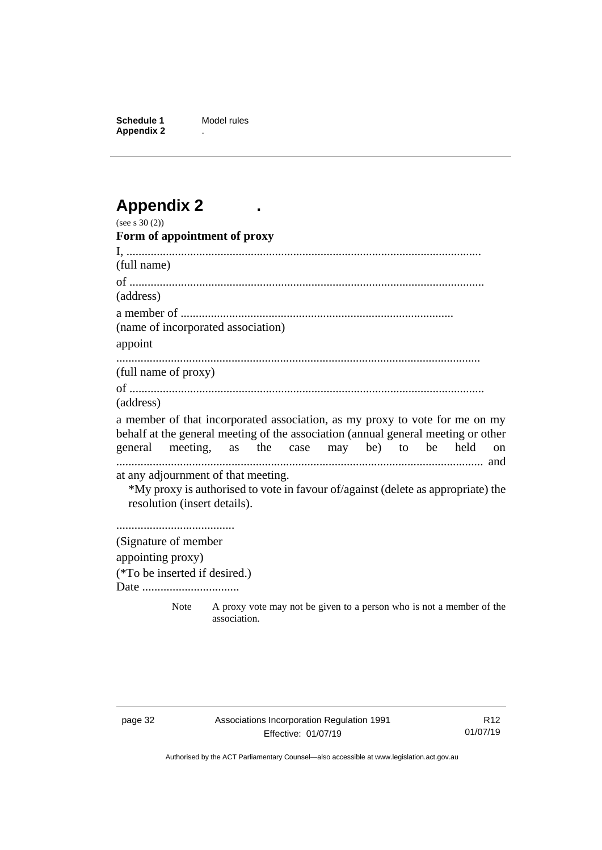**Schedule 1** Model rules **Appendix 2** .

# <span id="page-37-0"></span>**Appendix 2 .**

| (see s $30(2)$ )                                                                  |                                                                                      |  |               |
|-----------------------------------------------------------------------------------|--------------------------------------------------------------------------------------|--|---------------|
| Form of appointment of proxy                                                      |                                                                                      |  |               |
|                                                                                   |                                                                                      |  |               |
| (full name)                                                                       |                                                                                      |  |               |
|                                                                                   |                                                                                      |  |               |
| (address)                                                                         |                                                                                      |  |               |
|                                                                                   |                                                                                      |  |               |
| (name of incorporated association)                                                |                                                                                      |  |               |
| appoint                                                                           |                                                                                      |  |               |
|                                                                                   |                                                                                      |  |               |
| (full name of proxy)                                                              |                                                                                      |  |               |
|                                                                                   |                                                                                      |  |               |
| (address)                                                                         |                                                                                      |  |               |
| a member of that incorporated association, as my proxy to vote for me on my       |                                                                                      |  |               |
| behalf at the general meeting of the association (annual general meeting or other |                                                                                      |  |               |
| general meeting, as the case may be) to be held                                   |                                                                                      |  | <sub>on</sub> |
| at any adjournment of that meeting.                                               |                                                                                      |  |               |
| *My proxy is authorised to vote in favour of/against (delete as appropriate) the  |                                                                                      |  |               |
| resolution (insert details).                                                      |                                                                                      |  |               |
|                                                                                   |                                                                                      |  |               |
|                                                                                   |                                                                                      |  |               |
| (Signature of member                                                              |                                                                                      |  |               |
| appointing proxy)                                                                 |                                                                                      |  |               |
| (*To be inserted if desired.)                                                     |                                                                                      |  |               |
|                                                                                   |                                                                                      |  |               |
| <b>Note</b>                                                                       | A proxy vote may not be given to a person who is not a member of the<br>association. |  |               |

R12 01/07/19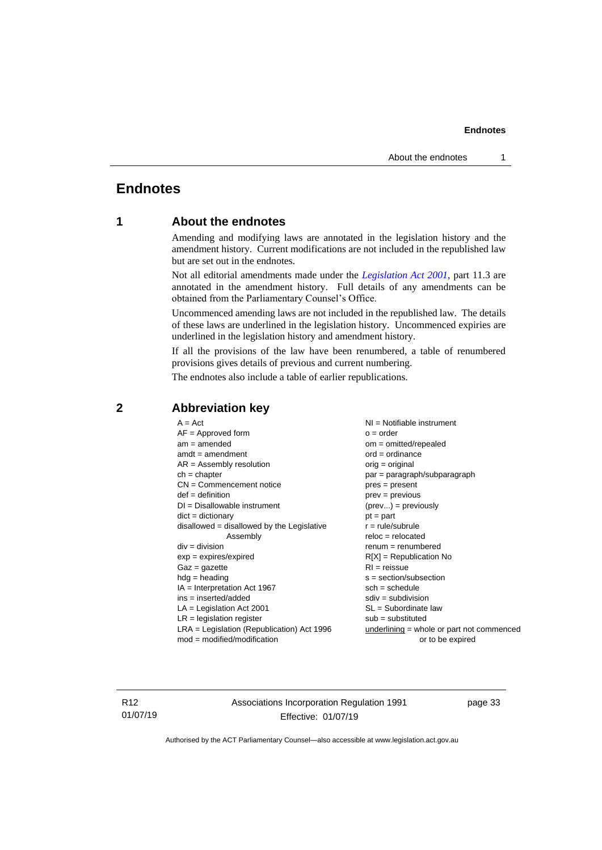# <span id="page-38-1"></span><span id="page-38-0"></span>**Endnotes**

### **1 About the endnotes**

Amending and modifying laws are annotated in the legislation history and the amendment history. Current modifications are not included in the republished law but are set out in the endnotes.

Not all editorial amendments made under the *[Legislation Act 2001](http://www.legislation.act.gov.au/a/2001-14)*, part 11.3 are annotated in the amendment history. Full details of any amendments can be obtained from the Parliamentary Counsel's Office.

Uncommenced amending laws are not included in the republished law. The details of these laws are underlined in the legislation history. Uncommenced expiries are underlined in the legislation history and amendment history.

If all the provisions of the law have been renumbered, a table of renumbered provisions gives details of previous and current numbering.

The endnotes also include a table of earlier republications.

| $A = Act$                                    | $NI =$ Notifiable instrument                |
|----------------------------------------------|---------------------------------------------|
| $AF =$ Approved form                         | $o = order$                                 |
| $am = amended$                               | $om = omitted/report$                       |
| $amdt = amendment$                           | $ord = ordinance$                           |
| $AR = Assembly resolution$                   | $orig = original$                           |
| $ch = chapter$                               | $par = paragraph/subparagraph$              |
| $CN =$ Commencement notice                   | $pres = present$                            |
| $def = definition$                           | $prev = previous$                           |
| $DI = Disallowable instrument$               | $(\text{prev}) = \text{previously}$         |
| $dict = dictionary$                          | $pt = part$                                 |
| disallowed = disallowed by the Legislative   | $r = rule/subrule$                          |
| Assembly                                     | $reloc = relocated$                         |
| $div = division$                             | $remum = renumbered$                        |
| $exp = expires/expired$                      | $R[X]$ = Republication No                   |
| $Gaz = gazette$                              | $RI = reissue$                              |
| $hdg =$ heading                              | $s = section/subsection$                    |
| $IA = Interpretation Act 1967$               | $sch = schedule$                            |
| $ins = inserted/added$                       | $sdiv = subdivision$                        |
| $LA =$ Legislation Act 2001                  | $SL = Subordinate$ law                      |
| $LR =$ legislation register                  | $sub =$ substituted                         |
| $LRA =$ Legislation (Republication) Act 1996 | underlining $=$ whole or part not commenced |
| $mod = modified/modification$                | or to be expired                            |
|                                              |                                             |

### <span id="page-38-2"></span>**2 Abbreviation key**

R12 01/07/19 Associations Incorporation Regulation 1991 Effective: 01/07/19

page 33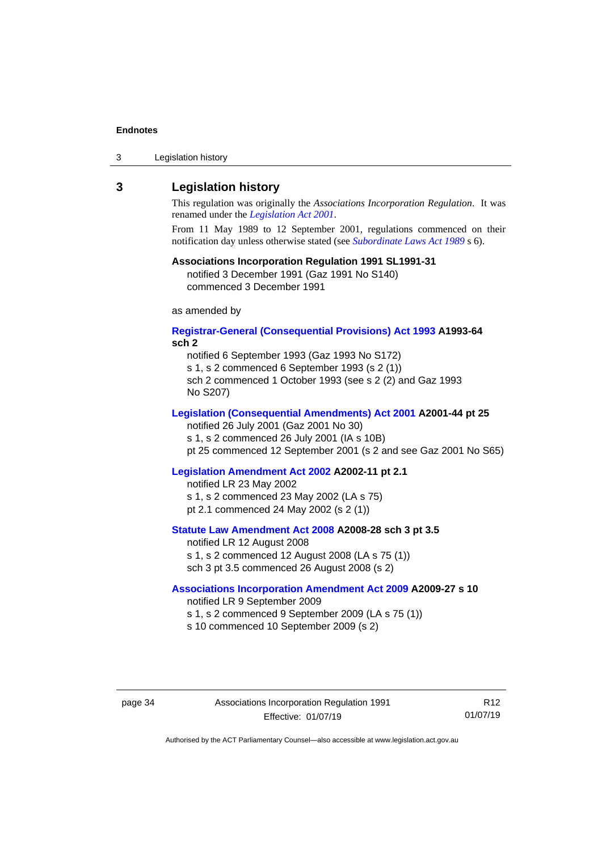| 3 | Legislation history |  |
|---|---------------------|--|
|---|---------------------|--|

### <span id="page-39-0"></span>**3 Legislation history**

This regulation was originally the *Associations Incorporation Regulation*. It was renamed under the *[Legislation Act 2001](http://www.legislation.act.gov.au/a/2001-14)*.

From 11 May 1989 to 12 September 2001, regulations commenced on their notification day unless otherwise stated (see *[Subordinate Laws Act 1989](http://www.legislation.act.gov.au/a/alt_a1989-24co)* s 6).

### **Associations Incorporation Regulation 1991 SL1991-31**

notified 3 December 1991 (Gaz 1991 No S140) commenced 3 December 1991

as amended by

### **[Registrar-General \(Consequential Provisions\) Act 1993](http://www.legislation.act.gov.au/a/1993-64) A1993-64 sch 2**

notified 6 September 1993 (Gaz 1993 No S172) s 1, s 2 commenced 6 September 1993 (s 2 (1))

sch 2 commenced 1 October 1993 (see s 2 (2) and Gaz 1993 No S207)

### **[Legislation \(Consequential Amendments\) Act 2001](http://www.legislation.act.gov.au/a/2001-44) A2001-44 pt 25**

notified 26 July 2001 (Gaz 2001 No 30)

s 1, s 2 commenced 26 July 2001 (IA s 10B)

pt 25 commenced 12 September 2001 (s 2 and see Gaz 2001 No S65)

### **[Legislation Amendment Act 2002](http://www.legislation.act.gov.au/a/2002-11) A2002-11 pt 2.1**

notified LR 23 May 2002 s 1, s 2 commenced 23 May 2002 (LA s 75) pt 2.1 commenced 24 May 2002 (s 2 (1))

### **[Statute Law Amendment Act 2008](http://www.legislation.act.gov.au/a/2008-28) A2008-28 sch 3 pt 3.5** notified LR 12 August 2008

s 1, s 2 commenced 12 August 2008 (LA s 75 (1)) sch 3 pt 3.5 commenced 26 August 2008 (s 2)

### **[Associations Incorporation Amendment Act 2009](http://www.legislation.act.gov.au/a/2009-27) A2009-27 s 10**

notified LR 9 September 2009

- s 1, s 2 commenced 9 September 2009 (LA s 75 (1))
- s 10 commenced 10 September 2009 (s 2)

R12 01/07/19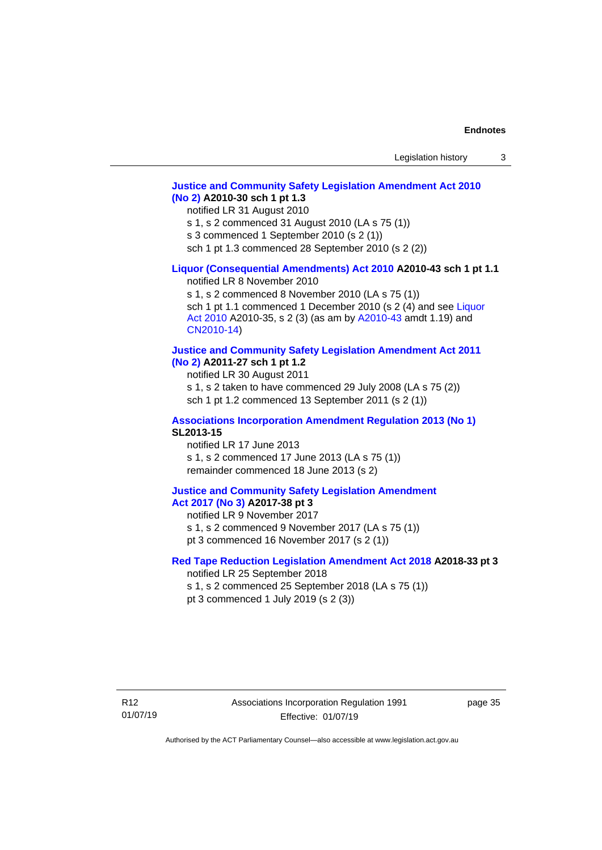### **[Justice and Community Safety Legislation Amendment Act 2010](http://www.legislation.act.gov.au/a/2010-30)  [\(No](http://www.legislation.act.gov.au/a/2010-30) 2) A2010-30 sch 1 pt 1.3**

notified LR 31 August 2010

s 1, s 2 commenced 31 August 2010 (LA s 75 (1))

s 3 commenced 1 September 2010 (s 2 (1))

sch 1 pt 1.3 commenced 28 September 2010 (s 2 (2))

### **[Liquor \(Consequential Amendments\) Act 2010](http://www.legislation.act.gov.au/a/2010-43) A2010-43 sch 1 pt 1.1**

notified LR 8 November 2010

s 1, s 2 commenced 8 November 2010 (LA s 75 (1)) sch 1 pt 1.1 commenced 1 December 2010 (s 2 (4) and see Liquor Act [2010](http://www.legislation.act.gov.au/a/2010-35) A2010-35, s 2 (3) (as am by [A2010-43](http://www.legislation.act.gov.au/a/2010-43) amdt 1.19) and [CN2010-14\)](http://www.legislation.act.gov.au/cn/2010-14/default.asp)

### **[Justice and Community Safety Legislation Amendment Act 2011](http://www.legislation.act.gov.au/a/2011-27)**

**[\(No](http://www.legislation.act.gov.au/a/2011-27) 2) A2011-27 sch 1 pt 1.2**

notified LR 30 August 2011

s 1, s 2 taken to have commenced 29 July 2008 (LA s 75 (2)) sch 1 pt 1.2 commenced 13 September 2011 (s 2 (1))

#### **[Associations Incorporation Amendment](http://www.legislation.act.gov.au/sl/2013-15/default.asp) Regulation 2013 (No 1) SL2013-15**

notified LR 17 June 2013 s 1, s 2 commenced 17 June 2013 (LA s 75 (1)) remainder commenced 18 June 2013 (s 2)

### **[Justice and Community Safety Legislation Amendment](http://www.legislation.act.gov.au/a/2017-38/default.asp)**

# **Act [2017](http://www.legislation.act.gov.au/a/2017-38/default.asp) (No 3) A2017-38 pt 3**

notified LR 9 November 2017

- s 1, s 2 commenced 9 November 2017 (LA s 75 (1))
- pt 3 commenced 16 November 2017 (s 2 (1))

### **[Red Tape Reduction Legislation Amendment Act 2018](http://www.legislation.act.gov.au/a/2018-33/) A2018-33 pt 3**

notified LR 25 September 2018

s 1, s 2 commenced 25 September 2018 (LA s 75 (1))

pt 3 commenced 1 July 2019 (s 2 (3))

page 35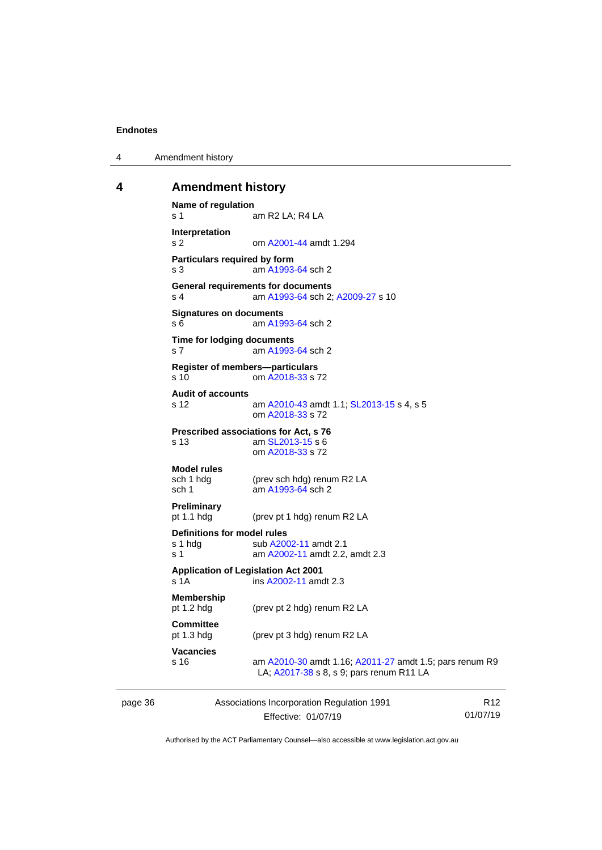4 Amendment history

### <span id="page-41-0"></span>**4 Amendment history**

```
Name of regulation
s 1 am R2 LA; R4 LA
Interpretation
s 2 om A2001-44 amdt 1.294
Particulars required by form
s 3 am A1993-64 sch 2
General requirements for documents
s 4 am A1993-64 sch 2; A2009-27 s 10
Signatures on documents
 A1993-64 sch 2
Time for lodging documents
s 7 am A1993-64 sch 2
Register of members—particulars
s 10 om A2018-33 s 72
Audit of accounts
s 12 am A2010-43 amdt 1.1; SL2013-15 s 4, s 5
               om A2018-33 s 72
Prescribed associations for Act, s 76
s 13 am SL2013-15 s 6
               om A2018-33 s 72
Model rules
sch 1 hdg (prev sch hdg) renum R2 LA
 A1993-64 sch 2
Preliminary<br>pt 1.1 hdg
               (prev pt 1 hdg) renum R2 LA
Definitions for model rules
 A2002-11 amdt 2.1
 A2002-11 amdt 2.2, amdt 2.3
Application of Legislation Act 2001
s 1A ins A2002-11 amdt 2.3
Membership<br>pt 1.2 hdg
               (prev pt 2 hdg) renum R2 LA
Committee<br>pt 1.3 hdg
               (prev pt 3 hdg) renum R2 LA
Vacancies
s 16 am A2010-30 amdt 1.16; A2011-27 amdt 1.5; pars renum R9 
                LA; A2017-38 s 8, s 9; pars renum R11 LA
```
page 36 Associations Incorporation Regulation 1991 Effective: 01/07/19

R12 01/07/19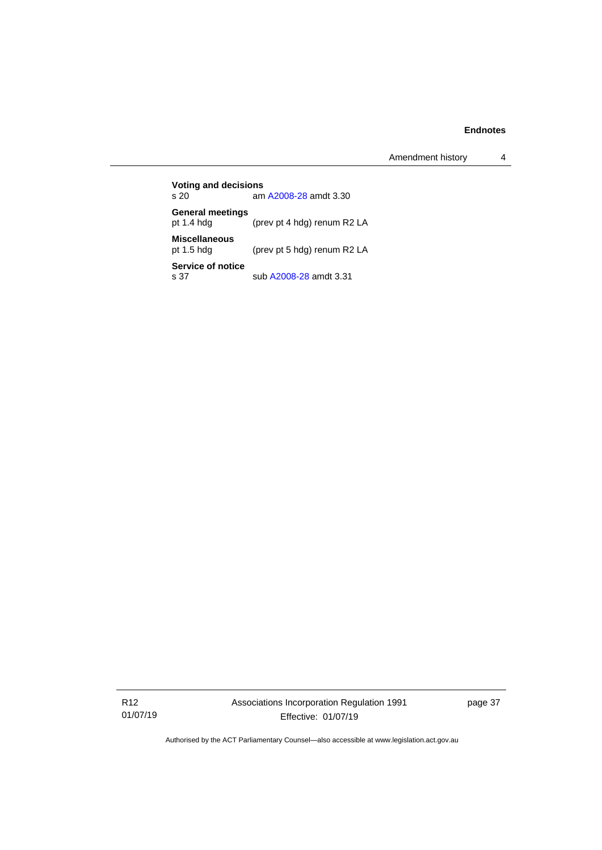Amendment history 4

**Voting and decisions**<br>s 20 am am [A2008-28](http://www.legislation.act.gov.au/a/2008-28) amdt 3.30 **General meetings** pt 1.4 hdg (prev pt 4 hdg) renum R2 LA **Miscellaneous** (prev pt 5 hdg) renum R2 LA **Service of notice**<br>s 37 sub [A2008-28](http://www.legislation.act.gov.au/a/2008-28) amdt 3.31

R12 01/07/19 Associations Incorporation Regulation 1991 Effective: 01/07/19

page 37